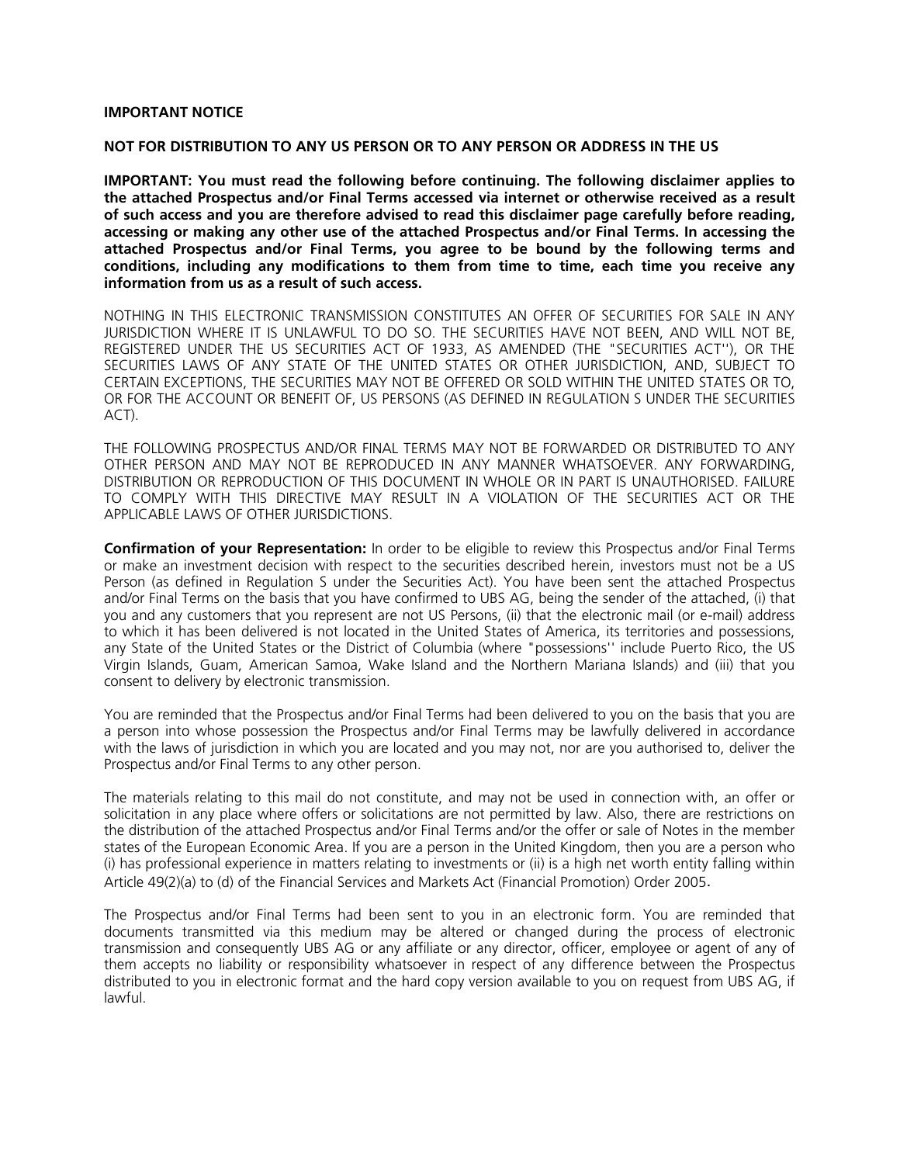#### **IMPORTANT NOTICE**

#### **NOT FOR DISTRIBUTION TO ANY US PERSON OR TO ANY PERSON OR ADDRESS IN THE US**

**IMPORTANT: You must read the following before continuing. The following disclaimer applies to the attached Prospectus and/or Final Terms accessed via internet or otherwise received as a result of such access and you are therefore advised to read this disclaimer page carefully before reading, accessing or making any other use of the attached Prospectus and/or Final Terms. In accessing the attached Prospectus and/or Final Terms, you agree to be bound by the following terms and conditions, including any modifications to them from time to time, each time you receive any information from us as a result of such access.**

NOTHING IN THIS ELECTRONIC TRANSMISSION CONSTITUTES AN OFFER OF SECURITIES FOR SALE IN ANY JURISDICTION WHERE IT IS UNLAWFUL TO DO SO. THE SECURITIES HAVE NOT BEEN, AND WILL NOT BE, REGISTERED UNDER THE US SECURITIES ACT OF 1933, AS AMENDED (THE "SECURITIES ACT''), OR THE SECURITIES LAWS OF ANY STATE OF THE UNITED STATES OR OTHER JURISDICTION, AND, SUBJECT TO CERTAIN EXCEPTIONS, THE SECURITIES MAY NOT BE OFFERED OR SOLD WITHIN THE UNITED STATES OR TO, OR FOR THE ACCOUNT OR BENEFIT OF, US PERSONS (AS DEFINED IN REGULATION S UNDER THE SECURITIES ACT).

THE FOLLOWING PROSPECTUS AND/OR FINAL TERMS MAY NOT BE FORWARDED OR DISTRIBUTED TO ANY OTHER PERSON AND MAY NOT BE REPRODUCED IN ANY MANNER WHATSOEVER. ANY FORWARDING, DISTRIBUTION OR REPRODUCTION OF THIS DOCUMENT IN WHOLE OR IN PART IS UNAUTHORISED. FAILURE TO COMPLY WITH THIS DIRECTIVE MAY RESULT IN A VIOLATION OF THE SECURITIES ACT OR THE APPLICABLE LAWS OF OTHER JURISDICTIONS.

**Confirmation of your Representation:** In order to be eligible to review this Prospectus and/or Final Terms or make an investment decision with respect to the securities described herein, investors must not be a US Person (as defined in Regulation S under the Securities Act). You have been sent the attached Prospectus and/or Final Terms on the basis that you have confirmed to UBS AG, being the sender of the attached, (i) that you and any customers that you represent are not US Persons, (ii) that the electronic mail (or e-mail) address to which it has been delivered is not located in the United States of America, its territories and possessions, any State of the United States or the District of Columbia (where "possessions'' include Puerto Rico, the US Virgin Islands, Guam, American Samoa, Wake Island and the Northern Mariana Islands) and (iii) that you consent to delivery by electronic transmission.

You are reminded that the Prospectus and/or Final Terms had been delivered to you on the basis that you are a person into whose possession the Prospectus and/or Final Terms may be lawfully delivered in accordance with the laws of jurisdiction in which you are located and you may not, nor are you authorised to, deliver the Prospectus and/or Final Terms to any other person.

The materials relating to this mail do not constitute, and may not be used in connection with, an offer or solicitation in any place where offers or solicitations are not permitted by law. Also, there are restrictions on the distribution of the attached Prospectus and/or Final Terms and/or the offer or sale of Notes in the member states of the European Economic Area. If you are a person in the United Kingdom, then you are a person who (i) has professional experience in matters relating to investments or (ii) is a high net worth entity falling within Article 49(2)(a) to (d) of the Financial Services and Markets Act (Financial Promotion) Order 2005.

The Prospectus and/or Final Terms had been sent to you in an electronic form. You are reminded that documents transmitted via this medium may be altered or changed during the process of electronic transmission and consequently UBS AG or any affiliate or any director, officer, employee or agent of any of them accepts no liability or responsibility whatsoever in respect of any difference between the Prospectus distributed to you in electronic format and the hard copy version available to you on request from UBS AG, if lawful.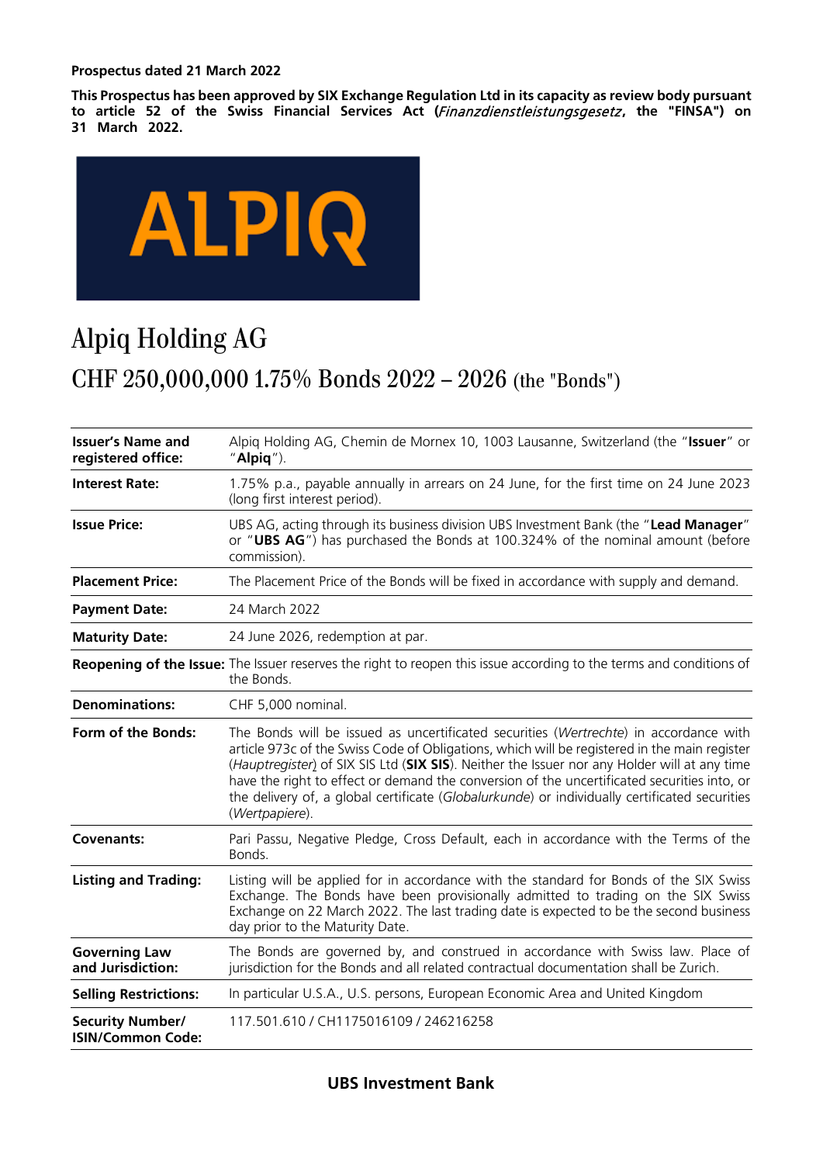#### **Prospectus dated 21 March 2022**

**This Prospectus has been approved by SIX Exchange Regulation Ltd in its capacity as review body pursuant to article 52 of the Swiss Financial Services Act (**Finanzdienstleistungsgesetz **, the "FINSA") on 31 March 2022.**



# Alpiq Holding AG CHF 250,000,000 1.75% Bonds 2022 – 2026 (the "Bonds")

| <b>Issuer's Name and</b><br>registered office:      | Alpig Holding AG, Chemin de Mornex 10, 1003 Lausanne, Switzerland (the "Issuer" or<br>" $Alpi$ ").                                                                                                                                                                                                                                                                                                                                                                                                      |
|-----------------------------------------------------|---------------------------------------------------------------------------------------------------------------------------------------------------------------------------------------------------------------------------------------------------------------------------------------------------------------------------------------------------------------------------------------------------------------------------------------------------------------------------------------------------------|
| <b>Interest Rate:</b>                               | 1.75% p.a., payable annually in arrears on 24 June, for the first time on 24 June 2023<br>(long first interest period).                                                                                                                                                                                                                                                                                                                                                                                 |
| <b>Issue Price:</b>                                 | UBS AG, acting through its business division UBS Investment Bank (the "Lead Manager"<br>or "UBS AG") has purchased the Bonds at 100.324% of the nominal amount (before<br>commission).                                                                                                                                                                                                                                                                                                                  |
| <b>Placement Price:</b>                             | The Placement Price of the Bonds will be fixed in accordance with supply and demand.                                                                                                                                                                                                                                                                                                                                                                                                                    |
| <b>Payment Date:</b>                                | 24 March 2022                                                                                                                                                                                                                                                                                                                                                                                                                                                                                           |
| <b>Maturity Date:</b>                               | 24 June 2026, redemption at par.                                                                                                                                                                                                                                                                                                                                                                                                                                                                        |
|                                                     | Reopening of the Issue: The Issuer reserves the right to reopen this issue according to the terms and conditions of<br>the Bonds.                                                                                                                                                                                                                                                                                                                                                                       |
| <b>Denominations:</b>                               | CHF 5,000 nominal.                                                                                                                                                                                                                                                                                                                                                                                                                                                                                      |
| Form of the Bonds:                                  | The Bonds will be issued as uncertificated securities (Wertrechte) in accordance with<br>article 973c of the Swiss Code of Obligations, which will be registered in the main register<br>(Hauptregister) of SIX SIS Ltd (SIX SIS). Neither the Issuer nor any Holder will at any time<br>have the right to effect or demand the conversion of the uncertificated securities into, or<br>the delivery of, a global certificate (Globalurkunde) or individually certificated securities<br>(Wertpapiere). |
| <b>Covenants:</b>                                   | Pari Passu, Negative Pledge, Cross Default, each in accordance with the Terms of the<br>Bonds.                                                                                                                                                                                                                                                                                                                                                                                                          |
| <b>Listing and Trading:</b>                         | Listing will be applied for in accordance with the standard for Bonds of the SIX Swiss<br>Exchange. The Bonds have been provisionally admitted to trading on the SIX Swiss<br>Exchange on 22 March 2022. The last trading date is expected to be the second business<br>day prior to the Maturity Date.                                                                                                                                                                                                 |
| <b>Governing Law</b><br>and Jurisdiction:           | The Bonds are governed by, and construed in accordance with Swiss law. Place of<br>jurisdiction for the Bonds and all related contractual documentation shall be Zurich.                                                                                                                                                                                                                                                                                                                                |
| <b>Selling Restrictions:</b>                        | In particular U.S.A., U.S. persons, European Economic Area and United Kingdom                                                                                                                                                                                                                                                                                                                                                                                                                           |
| <b>Security Number/</b><br><b>ISIN/Common Code:</b> | 117.501.610 / CH1175016109 / 246216258                                                                                                                                                                                                                                                                                                                                                                                                                                                                  |

### **UBS Investment Bank**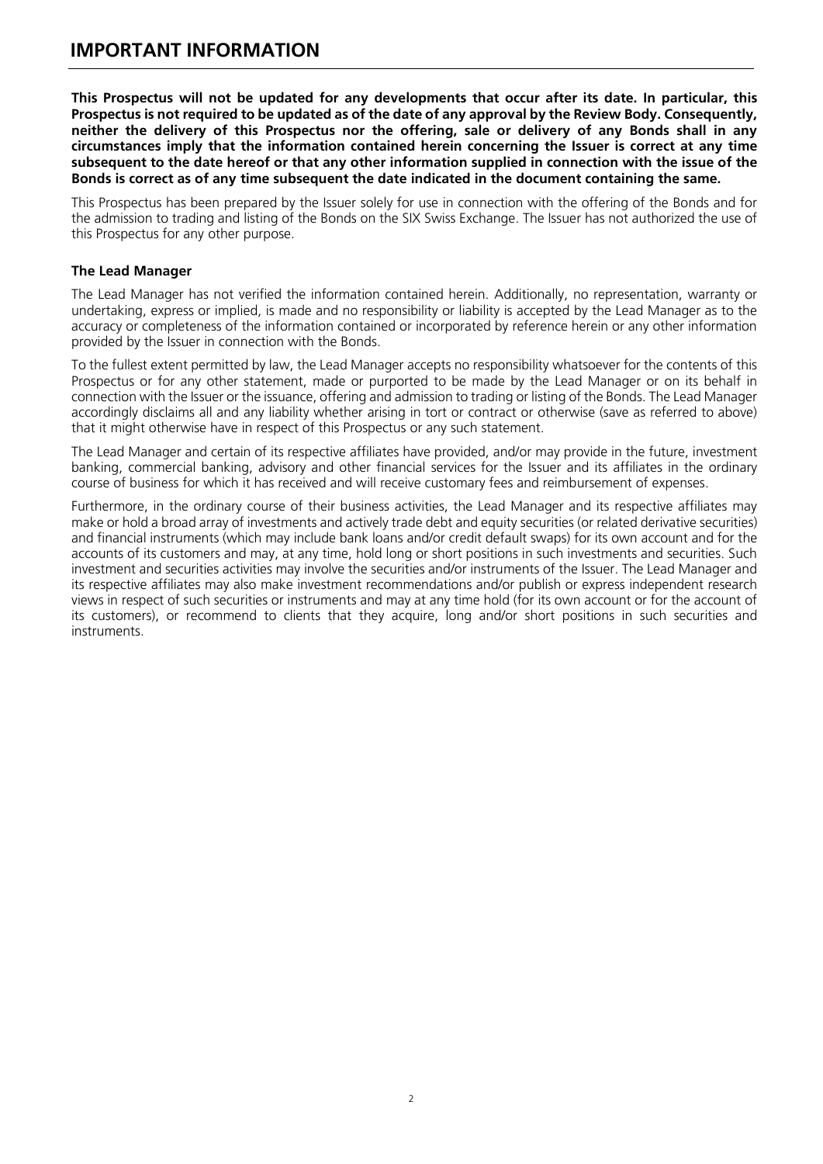### <span id="page-2-0"></span>**IMPORTANT INFORMATION**

**This Prospectus will not be updated for any developments that occur after its date. In particular, this Prospectus is not required to be updated as of the date of any approval by the Review Body. Consequently, neither the delivery of this Prospectus nor the offering, sale or delivery of any Bonds shall in any circumstances imply that the information contained herein concerning the Issuer is correct at any time subsequent to the date hereof or that any other information supplied in connection with the issue of the Bonds is correct as of any time subsequent the date indicated in the document containing the same.**

This Prospectus has been prepared by the Issuer solely for use in connection with the offering of the Bonds and for the admission to trading and listing of the Bonds on the SIX Swiss Exchange. The Issuer has not authorized the use of this Prospectus for any other purpose.

#### **The Lead Manager**

The Lead Manager has not verified the information contained herein. Additionally, no representation, warranty or undertaking, express or implied, is made and no responsibility or liability is accepted by the Lead Manager as to the accuracy or completeness of the information contained or incorporated by reference herein or any other information provided by the Issuer in connection with the Bonds.

To the fullest extent permitted by law, the Lead Manager accepts no responsibility whatsoever for the contents of this Prospectus or for any other statement, made or purported to be made by the Lead Manager or on its behalf in connection with the Issuer or the issuance, offering and admission to trading or listing of the Bonds. The Lead Manager accordingly disclaims all and any liability whether arising in tort or contract or otherwise (save as referred to above) that it might otherwise have in respect of this Prospectus or any such statement.

The Lead Manager and certain of its respective affiliates have provided, and/or may provide in the future, investment banking, commercial banking, advisory and other financial services for the Issuer and its affiliates in the ordinary course of business for which it has received and will receive customary fees and reimbursement of expenses.

Furthermore, in the ordinary course of their business activities, the Lead Manager and its respective affiliates may make or hold a broad array of investments and actively trade debt and equity securities (or related derivative securities) and financial instruments (which may include bank loans and/or credit default swaps) for its own account and for the accounts of its customers and may, at any time, hold long or short positions in such investments and securities. Such investment and securities activities may involve the securities and/or instruments of the Issuer. The Lead Manager and its respective affiliates may also make investment recommendations and/or publish or express independent research views in respect of such securities or instruments and may at any time hold (for its own account or for the account of its customers), or recommend to clients that they acquire, long and/or short positions in such securities and instruments.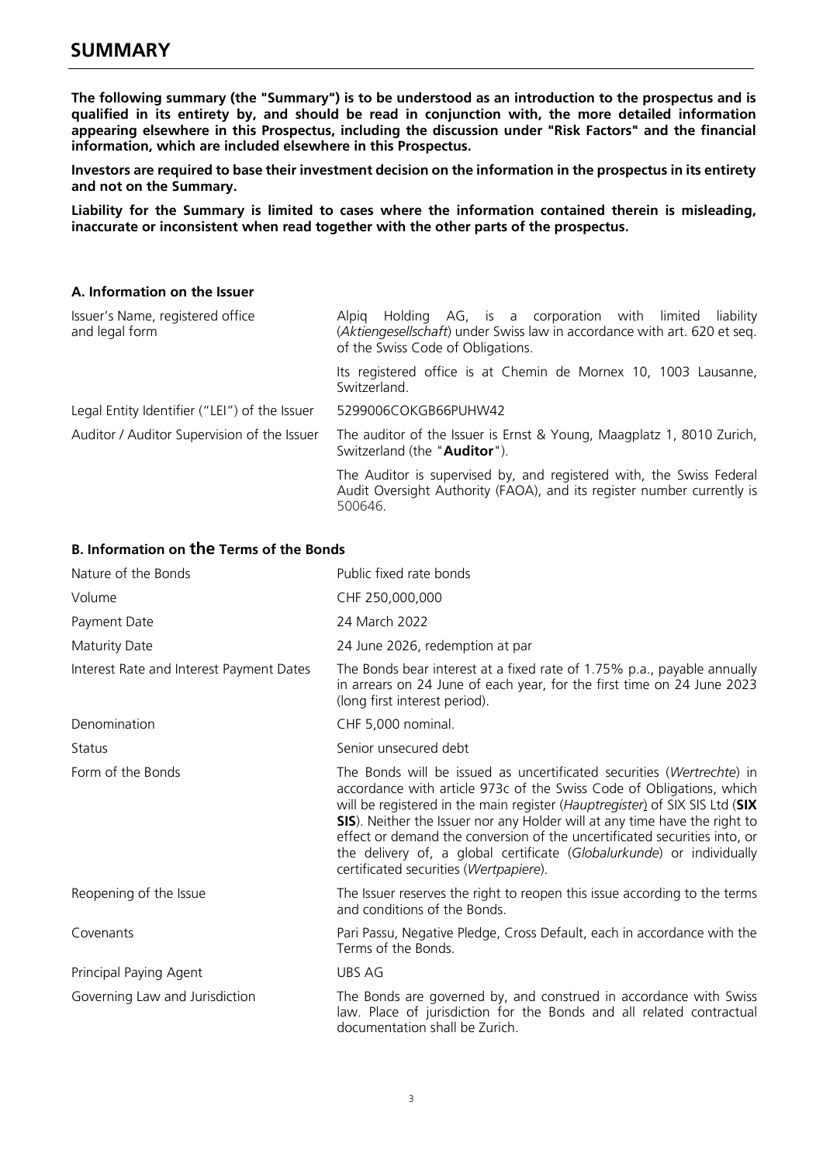<span id="page-3-0"></span>**The following summary (the "Summary") is to be understood as an introduction to the prospectus and is qualified in its entirety by, and should be read in conjunction with, the more detailed information appearing elsewhere in this Prospectus, including the discussion under "Risk Factors" and the financial information, which are included elsewhere in this Prospectus.** 

**Investors are required to base their investment decision on the information in the prospectus in its entirety and not on the Summary.**

**Liability for the Summary is limited to cases where the information contained therein is misleading, inaccurate or inconsistent when read together with the other parts of the prospectus.**

#### **A. Information on the Issuer**

| Issuer's Name, registered office<br>and legal form | Holding AG, is a corporation with limited liability<br>Alpia<br>(Aktiengesellschaft) under Swiss law in accordance with art. 620 et seg.<br>of the Swiss Code of Obligations. |
|----------------------------------------------------|-------------------------------------------------------------------------------------------------------------------------------------------------------------------------------|
|                                                    | Its registered office is at Chemin de Mornex 10, 1003 Lausanne,<br>Switzerland.                                                                                               |
| Legal Entity Identifier ("LEI") of the Issuer      | 5299006COKGB66PUHW42                                                                                                                                                          |
| Auditor / Auditor Supervision of the Issuer        | The auditor of the Issuer is Ernst & Young, Maagplatz 1, 8010 Zurich,<br>Switzerland (the "Auditor").                                                                         |
|                                                    | The Auditor is supervised by, and registered with, the Swiss Federal<br>Audit Oversight Authority (FAOA), and its register number currently is<br>500646.                     |

#### **B. Information on the Terms of the Bonds**

| Nature of the Bonds                      | Public fixed rate bonds                                                                                                                                                                                                                                                                                                                                                                                                                                                                                    |
|------------------------------------------|------------------------------------------------------------------------------------------------------------------------------------------------------------------------------------------------------------------------------------------------------------------------------------------------------------------------------------------------------------------------------------------------------------------------------------------------------------------------------------------------------------|
| Volume                                   | CHF 250,000,000                                                                                                                                                                                                                                                                                                                                                                                                                                                                                            |
| Payment Date                             | 24 March 2022                                                                                                                                                                                                                                                                                                                                                                                                                                                                                              |
| Maturity Date                            | 24 June 2026, redemption at par                                                                                                                                                                                                                                                                                                                                                                                                                                                                            |
| Interest Rate and Interest Payment Dates | The Bonds bear interest at a fixed rate of 1.75% p.a., payable annually<br>in arrears on 24 June of each year, for the first time on 24 June 2023<br>(long first interest period).                                                                                                                                                                                                                                                                                                                         |
| Denomination                             | CHF 5,000 nominal.                                                                                                                                                                                                                                                                                                                                                                                                                                                                                         |
| Status                                   | Senior unsecured debt                                                                                                                                                                                                                                                                                                                                                                                                                                                                                      |
| Form of the Bonds                        | The Bonds will be issued as uncertificated securities (Wertrechte) in<br>accordance with article 973c of the Swiss Code of Obligations, which<br>will be registered in the main register (Hauptregister) of SIX SIS Ltd (SIX<br>SIS). Neither the Issuer nor any Holder will at any time have the right to<br>effect or demand the conversion of the uncertificated securities into, or<br>the delivery of, a global certificate (Globalurkunde) or individually<br>certificated securities (Wertpapiere). |
| Reopening of the Issue                   | The Issuer reserves the right to reopen this issue according to the terms<br>and conditions of the Bonds.                                                                                                                                                                                                                                                                                                                                                                                                  |
| Covenants                                | Pari Passu, Negative Pledge, Cross Default, each in accordance with the<br>Terms of the Bonds.                                                                                                                                                                                                                                                                                                                                                                                                             |
| Principal Paying Agent                   | UBS AG                                                                                                                                                                                                                                                                                                                                                                                                                                                                                                     |
| Governing Law and Jurisdiction           | The Bonds are governed by, and construed in accordance with Swiss<br>law. Place of jurisdiction for the Bonds and all related contractual<br>documentation shall be Zurich.                                                                                                                                                                                                                                                                                                                                |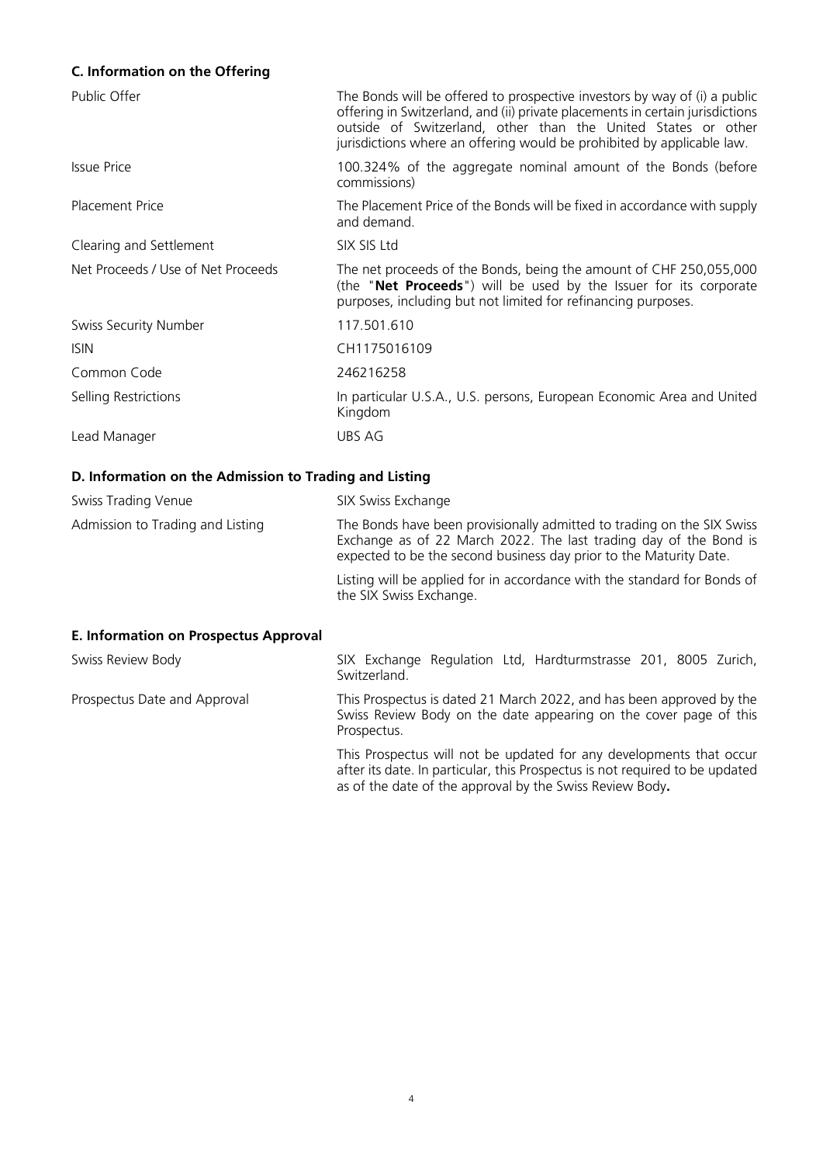### **C. Information on the Offering**

| Public Offer                       | The Bonds will be offered to prospective investors by way of (i) a public<br>offering in Switzerland, and (ii) private placements in certain jurisdictions<br>outside of Switzerland, other than the United States or other<br>jurisdictions where an offering would be prohibited by applicable law. |
|------------------------------------|-------------------------------------------------------------------------------------------------------------------------------------------------------------------------------------------------------------------------------------------------------------------------------------------------------|
| Issue Price                        | 100.324% of the aggregate nominal amount of the Bonds (before<br>commissions)                                                                                                                                                                                                                         |
| <b>Placement Price</b>             | The Placement Price of the Bonds will be fixed in accordance with supply<br>and demand.                                                                                                                                                                                                               |
| Clearing and Settlement            | SIX SIS Ltd                                                                                                                                                                                                                                                                                           |
| Net Proceeds / Use of Net Proceeds | The net proceeds of the Bonds, being the amount of CHF 250,055,000<br>(the " <b>Net Proceeds</b> ") will be used by the Issuer for its corporate<br>purposes, including but not limited for refinancing purposes.                                                                                     |
| Swiss Security Number              | 117.501.610                                                                                                                                                                                                                                                                                           |
| <b>ISIN</b>                        | CH1175016109                                                                                                                                                                                                                                                                                          |
| Common Code                        | 246216258                                                                                                                                                                                                                                                                                             |
| Selling Restrictions               | In particular U.S.A., U.S. persons, European Economic Area and United<br>Kingdom                                                                                                                                                                                                                      |
| Lead Manager                       | UBS AG                                                                                                                                                                                                                                                                                                |

#### **D. Information on the Admission to Trading and Listing**

| Swiss Trading Venue              | SIX Swiss Exchange                                                                                                                                                                                                |
|----------------------------------|-------------------------------------------------------------------------------------------------------------------------------------------------------------------------------------------------------------------|
| Admission to Trading and Listing | The Bonds have been provisionally admitted to trading on the SIX Swiss<br>Exchange as of 22 March 2022. The last trading day of the Bond is<br>expected to be the second business day prior to the Maturity Date. |
|                                  | Listing will be applied for in accordance with the standard for Bonds of<br>the SIX Swiss Exchange.                                                                                                               |

### **E. Information on Prospectus Approval**

| Swiss Review Body            | SIX Exchange Regulation Ltd, Hardturmstrasse 201, 8005 Zurich,<br>Switzerland                                                                            |  |
|------------------------------|----------------------------------------------------------------------------------------------------------------------------------------------------------|--|
| Prospectus Date and Approval | This Prospectus is dated 21 March 2022, and has been approved by the<br>Swiss Review Body on the date appearing on the cover page of this<br>Prospectus. |  |
|                              | This Prospectus will not be updated for any developments that occur<br>after its date. In particular, this Prospectus is not required to be updated      |  |

as of the date of the approval by the Swiss Review Body**.**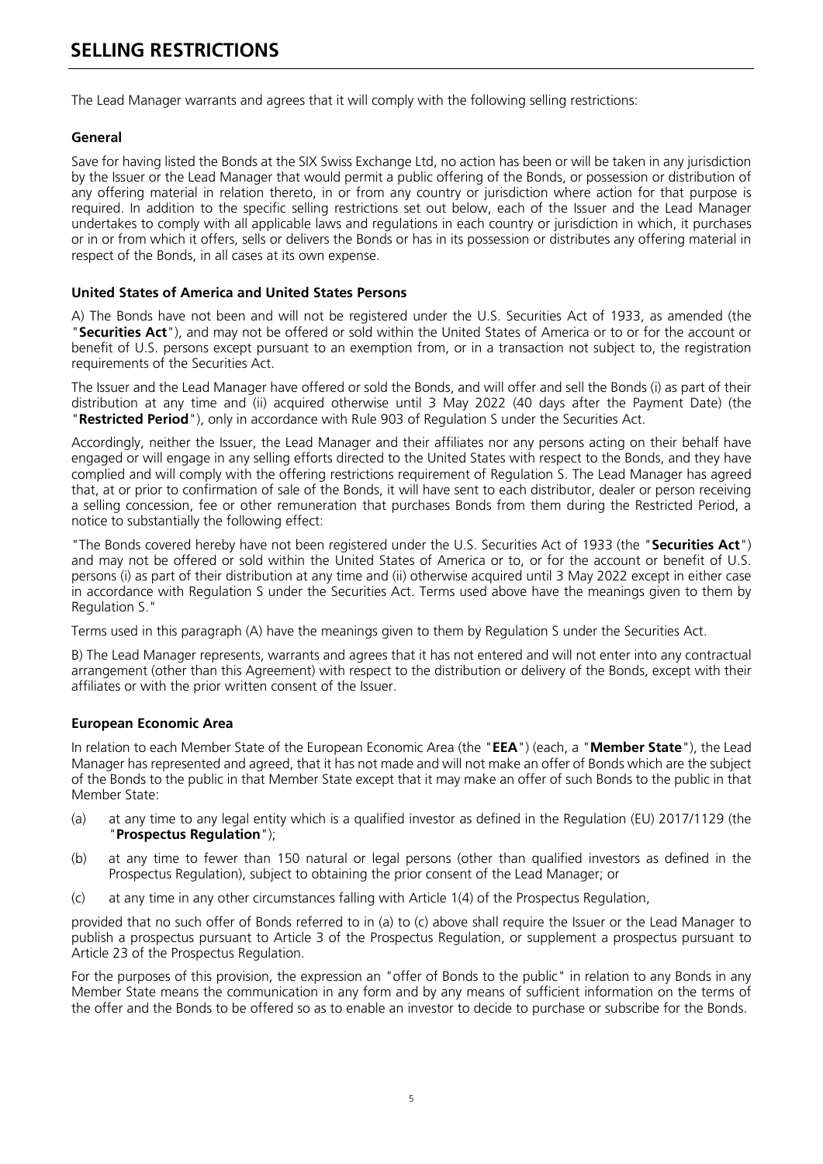### <span id="page-5-0"></span>**SELLING RESTRICTIONS**

The Lead Manager warrants and agrees that it will comply with the following selling restrictions:

#### **General**

Save for having listed the Bonds at the SIX Swiss Exchange Ltd, no action has been or will be taken in any jurisdiction by the Issuer or the Lead Manager that would permit a public offering of the Bonds, or possession or distribution of any offering material in relation thereto, in or from any country or jurisdiction where action for that purpose is required. In addition to the specific selling restrictions set out below, each of the Issuer and the Lead Manager undertakes to comply with all applicable laws and regulations in each country or jurisdiction in which, it purchases or in or from which it offers, sells or delivers the Bonds or has in its possession or distributes any offering material in respect of the Bonds, in all cases at its own expense.

#### **United States of America and United States Persons**

A) The Bonds have not been and will not be registered under the U.S. Securities Act of 1933, as amended (the "**Securities Act**"), and may not be offered or sold within the United States of America or to or for the account or benefit of U.S. persons except pursuant to an exemption from, or in a transaction not subject to, the registration requirements of the Securities Act.

The Issuer and the Lead Manager have offered or sold the Bonds, and will offer and sell the Bonds (i) as part of their distribution at any time and (ii) acquired otherwise until 3 May 2022 (40 days after the Payment Date) (the "**Restricted Period**"), only in accordance with Rule 903 of Regulation S under the Securities Act.

Accordingly, neither the Issuer, the Lead Manager and their affiliates nor any persons acting on their behalf have engaged or will engage in any selling efforts directed to the United States with respect to the Bonds, and they have complied and will comply with the offering restrictions requirement of Regulation S. The Lead Manager has agreed that, at or prior to confirmation of sale of the Bonds, it will have sent to each distributor, dealer or person receiving a selling concession, fee or other remuneration that purchases Bonds from them during the Restricted Period, a notice to substantially the following effect:

"The Bonds covered hereby have not been registered under the U.S. Securities Act of 1933 (the "**Securities Act**") and may not be offered or sold within the United States of America or to, or for the account or benefit of U.S. persons (i) as part of their distribution at any time and (ii) otherwise acquired until 3 May 2022 except in either case in accordance with Regulation S under the Securities Act. Terms used above have the meanings given to them by Regulation S."

Terms used in this paragraph (A) have the meanings given to them by Regulation S under the Securities Act.

B) The Lead Manager represents, warrants and agrees that it has not entered and will not enter into any contractual arrangement (other than this Agreement) with respect to the distribution or delivery of the Bonds, except with their affiliates or with the prior written consent of the Issuer.

#### **European Economic Area**

In relation to each Member State of the European Economic Area (the "**EEA**") (each, a "**Member State**"), the Lead Manager has represented and agreed, that it has not made and will not make an offer of Bonds which are the subject of the Bonds to the public in that Member State except that it may make an offer of such Bonds to the public in that Member State:

- (a) at any time to any legal entity which is a qualified investor as defined in the Regulation (EU) 2017/1129 (the "**Prospectus Regulation**");
- (b) at any time to fewer than 150 natural or legal persons (other than qualified investors as defined in the Prospectus Regulation), subject to obtaining the prior consent of the Lead Manager; or
- (c) at any time in any other circumstances falling with Article 1(4) of the Prospectus Regulation,

provided that no such offer of Bonds referred to in (a) to (c) above shall require the Issuer or the Lead Manager to publish a prospectus pursuant to Article 3 of the Prospectus Regulation, or supplement a prospectus pursuant to Article 23 of the Prospectus Regulation.

For the purposes of this provision, the expression an "offer of Bonds to the public" in relation to any Bonds in any Member State means the communication in any form and by any means of sufficient information on the terms of the offer and the Bonds to be offered so as to enable an investor to decide to purchase or subscribe for the Bonds.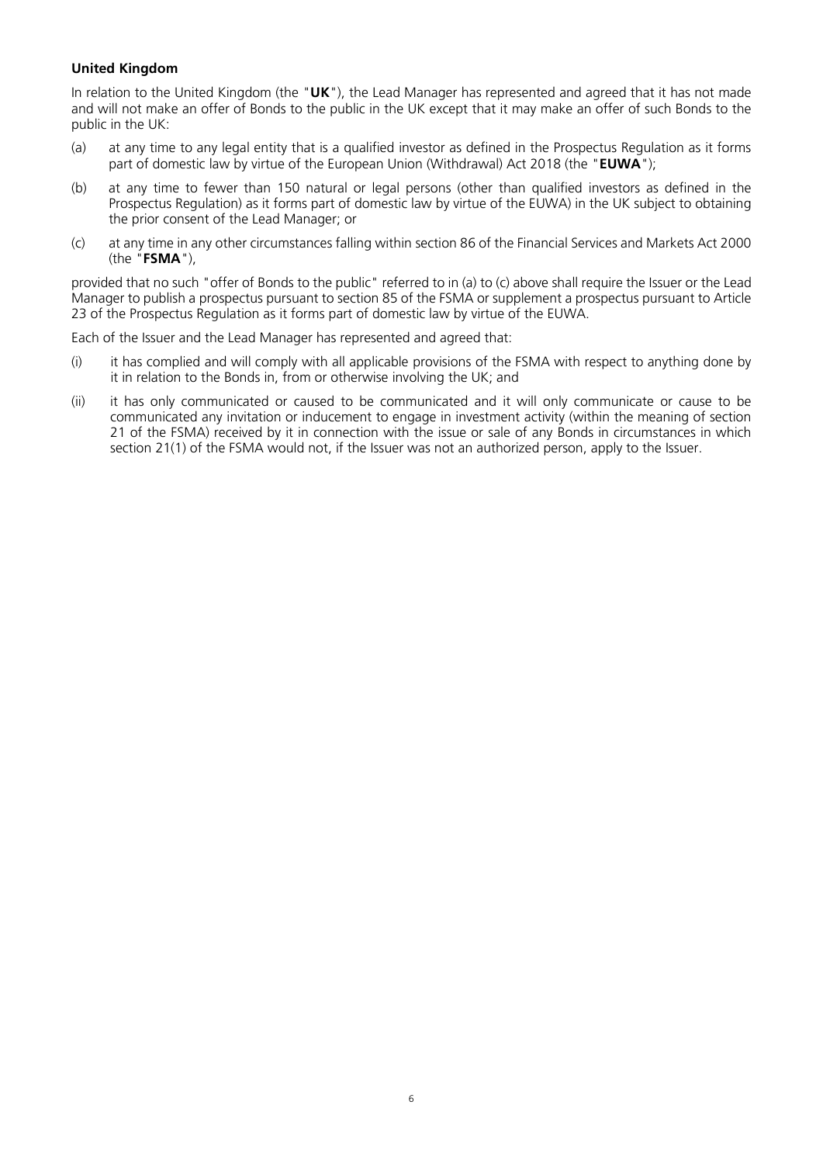#### **United Kingdom**

In relation to the United Kingdom (the "**UK**"), the Lead Manager has represented and agreed that it has not made and will not make an offer of Bonds to the public in the UK except that it may make an offer of such Bonds to the public in the UK:

- (a) at any time to any legal entity that is a qualified investor as defined in the Prospectus Regulation as it forms part of domestic law by virtue of the European Union (Withdrawal) Act 2018 (the "**EUWA**");
- (b) at any time to fewer than 150 natural or legal persons (other than qualified investors as defined in the Prospectus Regulation) as it forms part of domestic law by virtue of the EUWA) in the UK subject to obtaining the prior consent of the Lead Manager; or
- (c) at any time in any other circumstances falling within section 86 of the Financial Services and Markets Act 2000 (the "**FSMA**"),

provided that no such "offer of Bonds to the public" referred to in (a) to (c) above shall require the Issuer or the Lead Manager to publish a prospectus pursuant to section 85 of the FSMA or supplement a prospectus pursuant to Article 23 of the Prospectus Regulation as it forms part of domestic law by virtue of the EUWA.

Each of the Issuer and the Lead Manager has represented and agreed that:

- (i) it has complied and will comply with all applicable provisions of the FSMA with respect to anything done by it in relation to the Bonds in, from or otherwise involving the UK; and
- (ii) it has only communicated or caused to be communicated and it will only communicate or cause to be communicated any invitation or inducement to engage in investment activity (within the meaning of section 21 of the FSMA) received by it in connection with the issue or sale of any Bonds in circumstances in which section 21(1) of the FSMA would not, if the Issuer was not an authorized person, apply to the Issuer.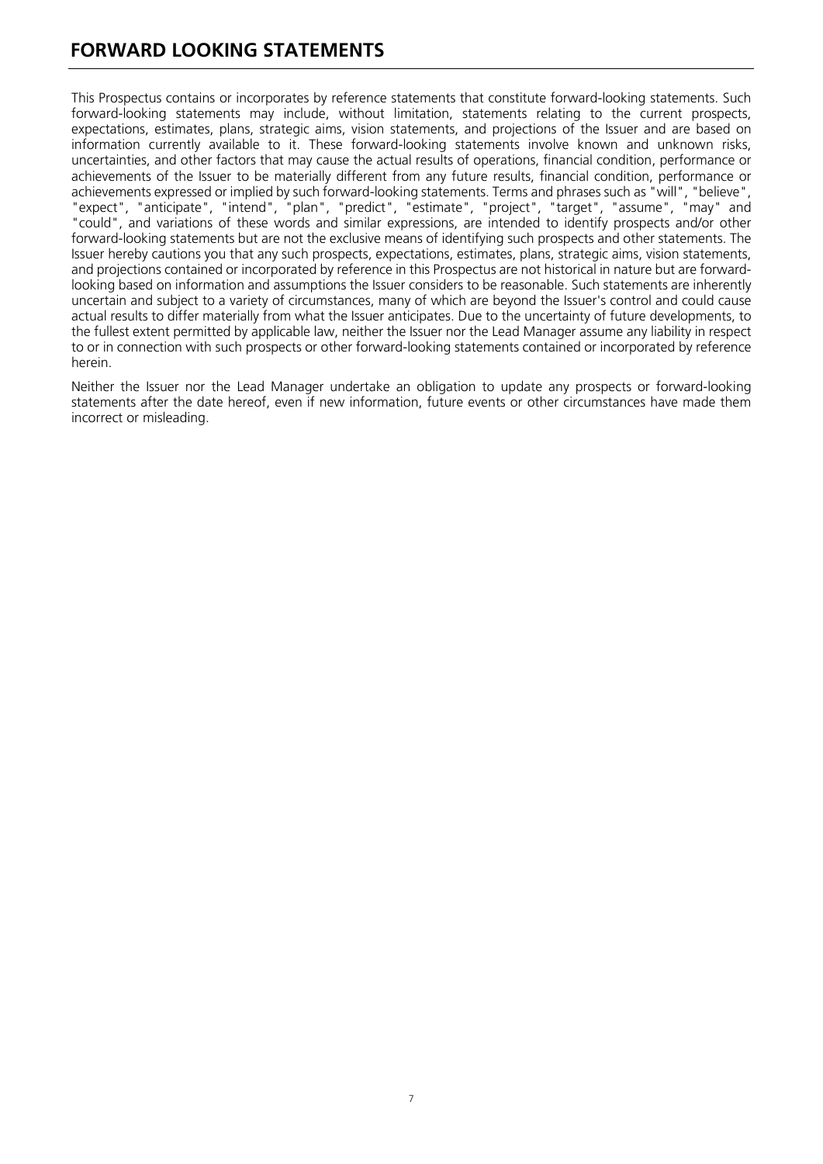### <span id="page-7-0"></span>**FORWARD LOOKING STATEMENTS**

This Prospectus contains or incorporates by reference statements that constitute forward-looking statements. Such forward-looking statements may include, without limitation, statements relating to the current prospects, expectations, estimates, plans, strategic aims, vision statements, and projections of the Issuer and are based on information currently available to it. These forward-looking statements involve known and unknown risks, uncertainties, and other factors that may cause the actual results of operations, financial condition, performance or achievements of the Issuer to be materially different from any future results, financial condition, performance or achievements expressed or implied by such forward-looking statements. Terms and phrases such as "will", "believe", "expect", "anticipate", "intend", "plan", "predict", "estimate", "project", "target", "assume", "may" and "could", and variations of these words and similar expressions, are intended to identify prospects and/or other forward-looking statements but are not the exclusive means of identifying such prospects and other statements. The Issuer hereby cautions you that any such prospects, expectations, estimates, plans, strategic aims, vision statements, and projections contained or incorporated by reference in this Prospectus are not historical in nature but are forwardlooking based on information and assumptions the Issuer considers to be reasonable. Such statements are inherently uncertain and subject to a variety of circumstances, many of which are beyond the Issuer's control and could cause actual results to differ materially from what the Issuer anticipates. Due to the uncertainty of future developments, to the fullest extent permitted by applicable law, neither the Issuer nor the Lead Manager assume any liability in respect to or in connection with such prospects or other forward-looking statements contained or incorporated by reference herein.

Neither the Issuer nor the Lead Manager undertake an obligation to update any prospects or forward-looking statements after the date hereof, even if new information, future events or other circumstances have made them incorrect or misleading.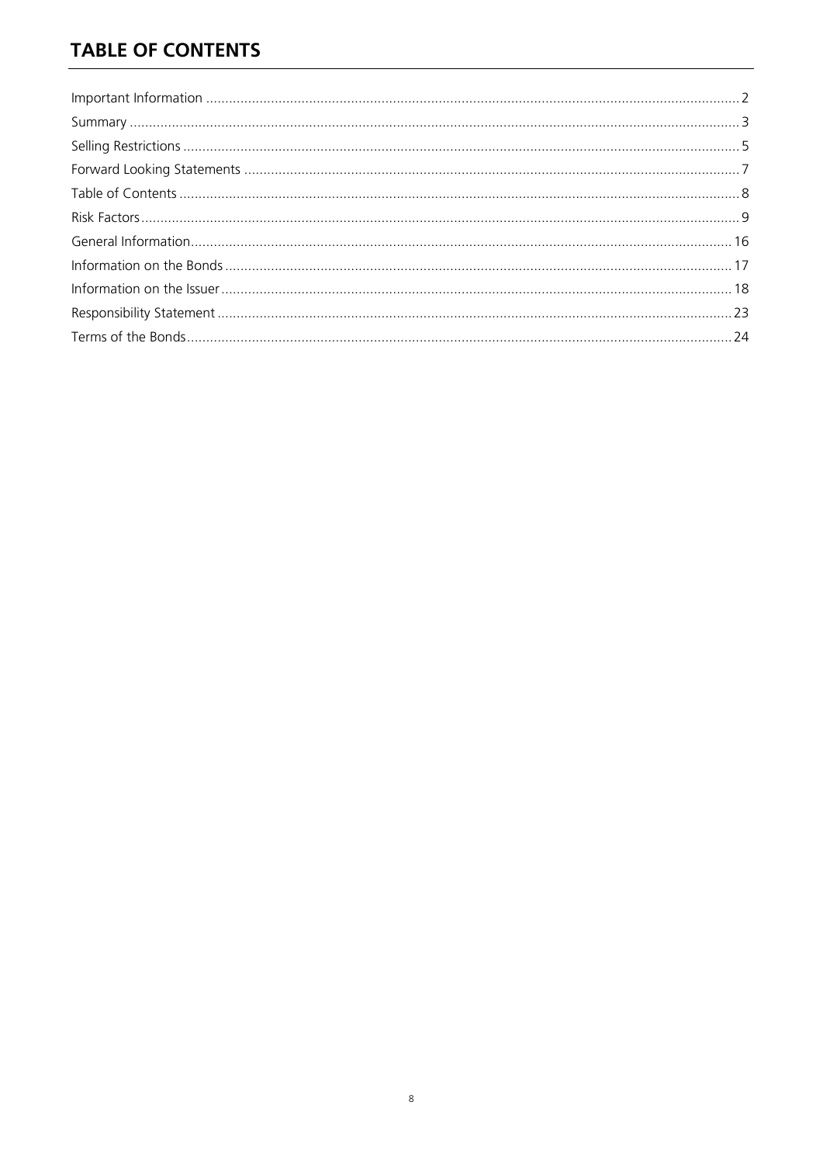## <span id="page-8-0"></span>**TABLE OF CONTENTS**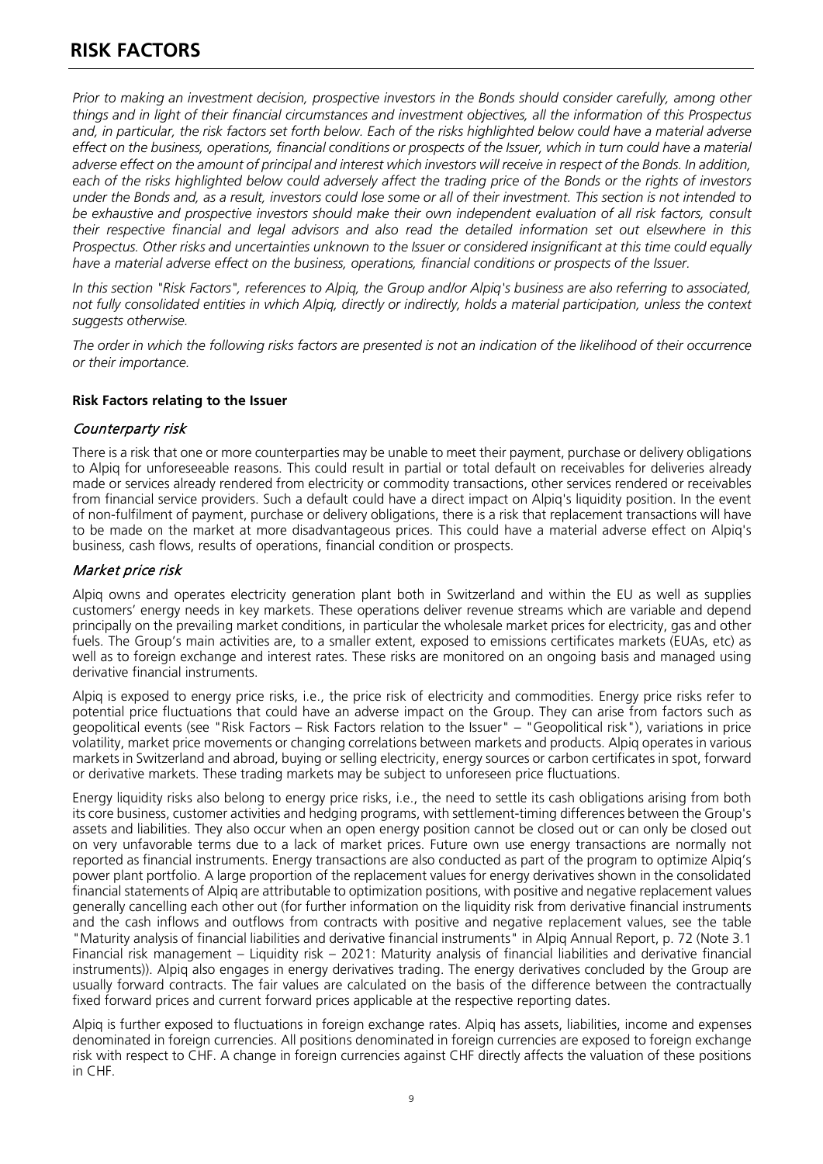<span id="page-9-0"></span>*Prior to making an investment decision, prospective investors in the Bonds should consider carefully, among other things and in light of their financial circumstances and investment objectives, all the information of this Prospectus and, in particular, the risk factors set forth below. Each of the risks highlighted below could have a material adverse effect on the business, operations, financial conditions or prospects of the Issuer, which in turn could have a material*  adverse effect on the amount of principal and interest which investors will receive in respect of the Bonds. In addition, each of the risks highlighted below could adversely affect the trading price of the Bonds or the rights of investors *under the Bonds and, as a result, investors could lose some or all of their investment. This section is not intended to*  be exhaustive and prospective investors should make their own independent evaluation of all risk factors, consult *their respective financial and legal advisors and also read the detailed information set out elsewhere in this Prospectus. Other risks and uncertainties unknown to the Issuer or considered insignificant at this time could equally have a material adverse effect on the business, operations, financial conditions or prospects of the Issuer.* 

*In this section "Risk Factors", references to Alpiq, the Group and/or Alpiq's business are also referring to associated, not fully consolidated entities in which Alpiq, directly or indirectly, holds a material participation, unless the context suggests otherwise.*

*The order in which the following risks factors are presented is not an indication of the likelihood of their occurrence or their importance.*

#### **Risk Factors relating to the Issuer**

#### Counterparty risk

There is a risk that one or more counterparties may be unable to meet their payment, purchase or delivery obligations to Alpiq for unforeseeable reasons. This could result in partial or total default on receivables for deliveries already made or services already rendered from electricity or commodity transactions, other services rendered or receivables from financial service providers. Such a default could have a direct impact on Alpiq's liquidity position. In the event of non-fulfilment of payment, purchase or delivery obligations, there is a risk that replacement transactions will have to be made on the market at more disadvantageous prices. This could have a material adverse effect on Alpiq's business, cash flows, results of operations, financial condition or prospects.

#### Market price risk

Alpiq owns and operates electricity generation plant both in Switzerland and within the EU as well as supplies customers' energy needs in key markets. These operations deliver revenue streams which are variable and depend principally on the prevailing market conditions, in particular the wholesale market prices for electricity, gas and other fuels. The Group's main activities are, to a smaller extent, exposed to emissions certificates markets (EUAs, etc) as well as to foreign exchange and interest rates. These risks are monitored on an ongoing basis and managed using derivative financial instruments.

Alpiq is exposed to energy price risks, i.e., the price risk of electricity and commodities. Energy price risks refer to potential price fluctuations that could have an adverse impact on the Group. They can arise from factors such as geopolitical events (see "Risk Factors – Risk Factors relation to the Issuer" – "Geopolitical risk"), variations in price volatility, market price movements or changing correlations between markets and products. Alpiq operates in various markets in Switzerland and abroad, buying or selling electricity, energy sources or carbon certificates in spot, forward or derivative markets. These trading markets may be subject to unforeseen price fluctuations.

Energy liquidity risks also belong to energy price risks, i.e., the need to settle its cash obligations arising from both its core business, customer activities and hedging programs, with settlement-timing differences between the Group's assets and liabilities. They also occur when an open energy position cannot be closed out or can only be closed out on very unfavorable terms due to a lack of market prices. Future own use energy transactions are normally not reported as financial instruments. Energy transactions are also conducted as part of the program to optimize Alpiq's power plant portfolio. A large proportion of the replacement values for energy derivatives shown in the consolidated financial statements of Alpiq are attributable to optimization positions, with positive and negative replacement values generally cancelling each other out (for further information on the liquidity risk from derivative financial instruments and the cash inflows and outflows from contracts with positive and negative replacement values, see the table "Maturity analysis of financial liabilities and derivative financial instruments" in Alpiq Annual Report, p. 72 (Note 3.1 Financial risk management – Liquidity risk – 2021: Maturity analysis of financial liabilities and derivative financial instruments)). Alpiq also engages in energy derivatives trading. The energy derivatives concluded by the Group are usually forward contracts. The fair values are calculated on the basis of the difference between the contractually fixed forward prices and current forward prices applicable at the respective reporting dates.

Alpiq is further exposed to fluctuations in foreign exchange rates. Alpiq has assets, liabilities, income and expenses denominated in foreign currencies. All positions denominated in foreign currencies are exposed to foreign exchange risk with respect to CHF. A change in foreign currencies against CHF directly affects the valuation of these positions in CHF.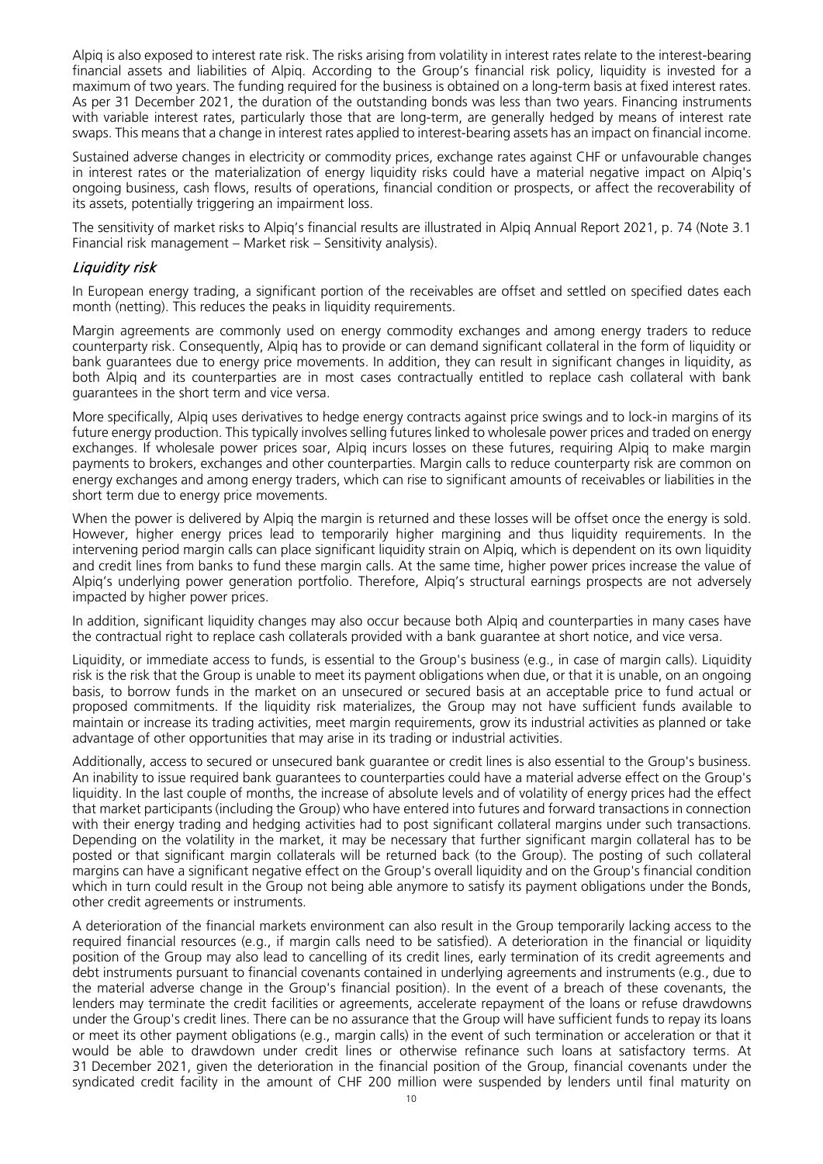Alpiq is also exposed to interest rate risk. The risks arising from volatility in interest rates relate to the interest-bearing financial assets and liabilities of Alpiq. According to the Group's financial risk policy, liquidity is invested for a maximum of two years. The funding required for the business is obtained on a long-term basis at fixed interest rates. As per 31 December 2021, the duration of the outstanding bonds was less than two years. Financing instruments with variable interest rates, particularly those that are long-term, are generally hedged by means of interest rate swaps. This means that a change in interest rates applied to interest-bearing assets has an impact on financial income.

Sustained adverse changes in electricity or commodity prices, exchange rates against CHF or unfavourable changes in interest rates or the materialization of energy liquidity risks could have a material negative impact on Alpiq's ongoing business, cash flows, results of operations, financial condition or prospects, or affect the recoverability of its assets, potentially triggering an impairment loss.

The sensitivity of market risks to Alpiq's financial results are illustrated in Alpiq Annual Report 2021, p. 74 (Note 3.1 Financial risk management – Market risk – Sensitivity analysis).

#### Liquidity risk

In European energy trading, a significant portion of the receivables are offset and settled on specified dates each month (netting). This reduces the peaks in liquidity requirements.

Margin agreements are commonly used on energy commodity exchanges and among energy traders to reduce counterparty risk. Consequently, Alpiq has to provide or can demand significant collateral in the form of liquidity or bank guarantees due to energy price movements. In addition, they can result in significant changes in liquidity, as both Alpiq and its counterparties are in most cases contractually entitled to replace cash collateral with bank guarantees in the short term and vice versa.

More specifically, Alpiq uses derivatives to hedge energy contracts against price swings and to lock-in margins of its future energy production. This typically involves selling futures linked to wholesale power prices and traded on energy exchanges. If wholesale power prices soar, Alpiq incurs losses on these futures, requiring Alpiq to make margin payments to brokers, exchanges and other counterparties. Margin calls to reduce counterparty risk are common on energy exchanges and among energy traders, which can rise to significant amounts of receivables or liabilities in the short term due to energy price movements.

When the power is delivered by Alpiq the margin is returned and these losses will be offset once the energy is sold. However, higher energy prices lead to temporarily higher margining and thus liquidity requirements. In the intervening period margin calls can place significant liquidity strain on Alpiq, which is dependent on its own liquidity and credit lines from banks to fund these margin calls. At the same time, higher power prices increase the value of Alpiq's underlying power generation portfolio. Therefore, Alpiq's structural earnings prospects are not adversely impacted by higher power prices.

In addition, significant liquidity changes may also occur because both Alpiq and counterparties in many cases have the contractual right to replace cash collaterals provided with a bank guarantee at short notice, and vice versa.

Liquidity, or immediate access to funds, is essential to the Group's business (e.g., in case of margin calls). Liquidity risk is the risk that the Group is unable to meet its payment obligations when due, or that it is unable, on an ongoing basis, to borrow funds in the market on an unsecured or secured basis at an acceptable price to fund actual or proposed commitments. If the liquidity risk materializes, the Group may not have sufficient funds available to maintain or increase its trading activities, meet margin requirements, grow its industrial activities as planned or take advantage of other opportunities that may arise in its trading or industrial activities.

Additionally, access to secured or unsecured bank guarantee or credit lines is also essential to the Group's business. An inability to issue required bank guarantees to counterparties could have a material adverse effect on the Group's liquidity. In the last couple of months, the increase of absolute levels and of volatility of energy prices had the effect that market participants (including the Group) who have entered into futures and forward transactions in connection with their energy trading and hedging activities had to post significant collateral margins under such transactions. Depending on the volatility in the market, it may be necessary that further significant margin collateral has to be posted or that significant margin collaterals will be returned back (to the Group). The posting of such collateral margins can have a significant negative effect on the Group's overall liquidity and on the Group's financial condition which in turn could result in the Group not being able anymore to satisfy its payment obligations under the Bonds, other credit agreements or instruments.

A deterioration of the financial markets environment can also result in the Group temporarily lacking access to the required financial resources (e.g., if margin calls need to be satisfied). A deterioration in the financial or liquidity position of the Group may also lead to cancelling of its credit lines, early termination of its credit agreements and debt instruments pursuant to financial covenants contained in underlying agreements and instruments (e.g., due to the material adverse change in the Group's financial position). In the event of a breach of these covenants, the lenders may terminate the credit facilities or agreements, accelerate repayment of the loans or refuse drawdowns under the Group's credit lines. There can be no assurance that the Group will have sufficient funds to repay its loans or meet its other payment obligations (e.g., margin calls) in the event of such termination or acceleration or that it would be able to drawdown under credit lines or otherwise refinance such loans at satisfactory terms. At 31 December 2021, given the deterioration in the financial position of the Group, financial covenants under the syndicated credit facility in the amount of CHF 200 million were suspended by lenders until final maturity on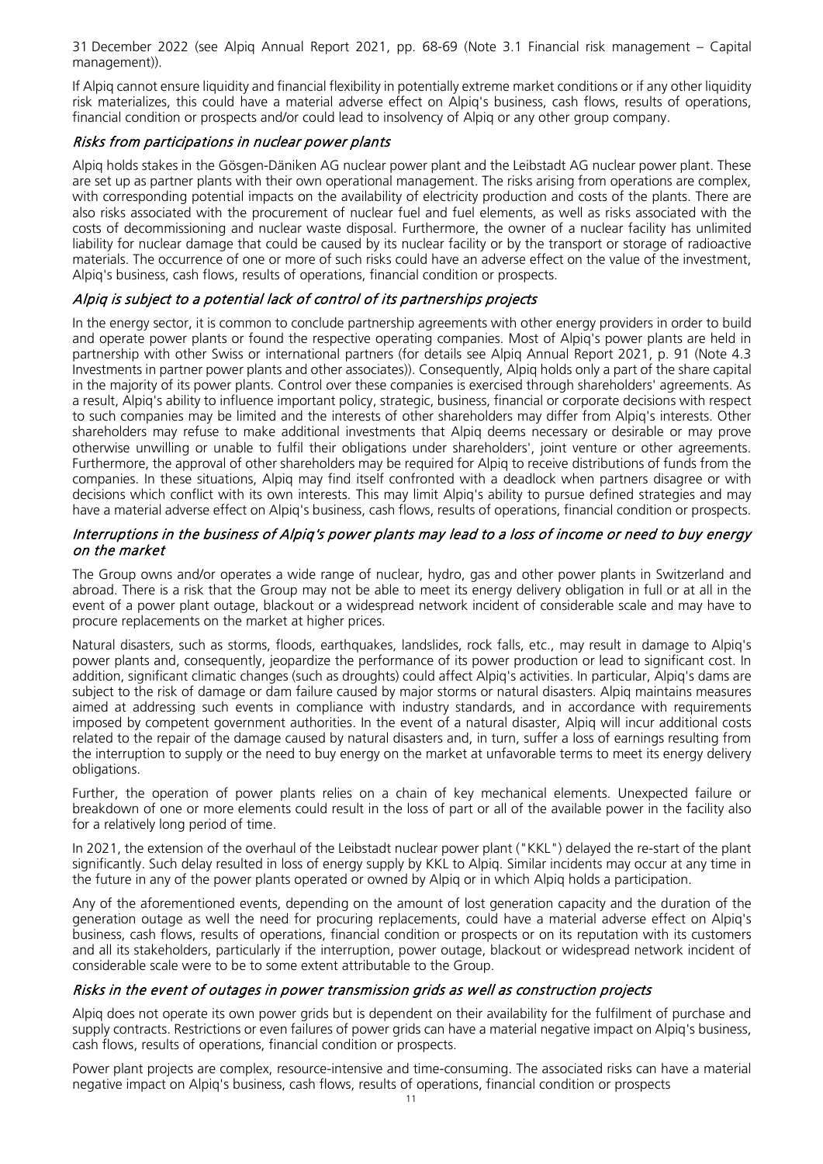31 December 2022 (see Alpiq Annual Report 2021, pp. 68-69 (Note 3.1 Financial risk management – Capital management)).

If Alpiq cannot ensure liquidity and financial flexibility in potentially extreme market conditions or if any other liquidity risk materializes, this could have a material adverse effect on Alpiq's business, cash flows, results of operations, financial condition or prospects and/or could lead to insolvency of Alpiq or any other group company.

#### Risks from participations in nuclear power plants

Alpiq holds stakes in the Gösgen-Däniken AG nuclear power plant and the Leibstadt AG nuclear power plant. These are set up as partner plants with their own operational management. The risks arising from operations are complex, with corresponding potential impacts on the availability of electricity production and costs of the plants. There are also risks associated with the procurement of nuclear fuel and fuel elements, as well as risks associated with the costs of decommissioning and nuclear waste disposal. Furthermore, the owner of a nuclear facility has unlimited liability for nuclear damage that could be caused by its nuclear facility or by the transport or storage of radioactive materials. The occurrence of one or more of such risks could have an adverse effect on the value of the investment, Alpiq's business, cash flows, results of operations, financial condition or prospects.

#### Alpiq is subject to a potential lack of control of its partnerships projects

In the energy sector, it is common to conclude partnership agreements with other energy providers in order to build and operate power plants or found the respective operating companies. Most of Alpiq's power plants are held in partnership with other Swiss or international partners (for details see Alpiq Annual Report 2021, p. 91 (Note 4.3 Investments in partner power plants and other associates)). Consequently, Alpiq holds only a part of the share capital in the majority of its power plants. Control over these companies is exercised through shareholders' agreements. As a result, Alpiq's ability to influence important policy, strategic, business, financial or corporate decisions with respect to such companies may be limited and the interests of other shareholders may differ from Alpiq's interests. Other shareholders may refuse to make additional investments that Alpiq deems necessary or desirable or may prove otherwise unwilling or unable to fulfil their obligations under shareholders', joint venture or other agreements. Furthermore, the approval of other shareholders may be required for Alpiq to receive distributions of funds from the companies. In these situations, Alpiq may find itself confronted with a deadlock when partners disagree or with decisions which conflict with its own interests. This may limit Alpiq's ability to pursue defined strategies and may have a material adverse effect on Alpiq's business, cash flows, results of operations, financial condition or prospects.

#### Interruptions in the business of Alpiq's power plants may lead to a loss of income or need to buy energy on the market

The Group owns and/or operates a wide range of nuclear, hydro, gas and other power plants in Switzerland and abroad. There is a risk that the Group may not be able to meet its energy delivery obligation in full or at all in the event of a power plant outage, blackout or a widespread network incident of considerable scale and may have to procure replacements on the market at higher prices.

Natural disasters, such as storms, floods, earthquakes, landslides, rock falls, etc., may result in damage to Alpiq's power plants and, consequently, jeopardize the performance of its power production or lead to significant cost. In addition, significant climatic changes (such as droughts) could affect Alpiq's activities. In particular, Alpiq's dams are subject to the risk of damage or dam failure caused by major storms or natural disasters. Alpiq maintains measures aimed at addressing such events in compliance with industry standards, and in accordance with requirements imposed by competent government authorities. In the event of a natural disaster, Alpiq will incur additional costs related to the repair of the damage caused by natural disasters and, in turn, suffer a loss of earnings resulting from the interruption to supply or the need to buy energy on the market at unfavorable terms to meet its energy delivery obligations.

Further, the operation of power plants relies on a chain of key mechanical elements. Unexpected failure or breakdown of one or more elements could result in the loss of part or all of the available power in the facility also for a relatively long period of time.

In 2021, the extension of the overhaul of the Leibstadt nuclear power plant ("KKL") delayed the re-start of the plant significantly. Such delay resulted in loss of energy supply by KKL to Alpiq. Similar incidents may occur at any time in the future in any of the power plants operated or owned by Alpiq or in which Alpiq holds a participation.

Any of the aforementioned events, depending on the amount of lost generation capacity and the duration of the generation outage as well the need for procuring replacements, could have a material adverse effect on Alpiq's business, cash flows, results of operations, financial condition or prospects or on its reputation with its customers and all its stakeholders, particularly if the interruption, power outage, blackout or widespread network incident of considerable scale were to be to some extent attributable to the Group.

#### Risks in the event of outages in power transmission grids as well as construction projects

Alpiq does not operate its own power grids but is dependent on their availability for the fulfilment of purchase and supply contracts. Restrictions or even failures of power grids can have a material negative impact on Alpiq's business, cash flows, results of operations, financial condition or prospects.

Power plant projects are complex, resource-intensive and time-consuming. The associated risks can have a material negative impact on Alpiq's business, cash flows, results of operations, financial condition or prospects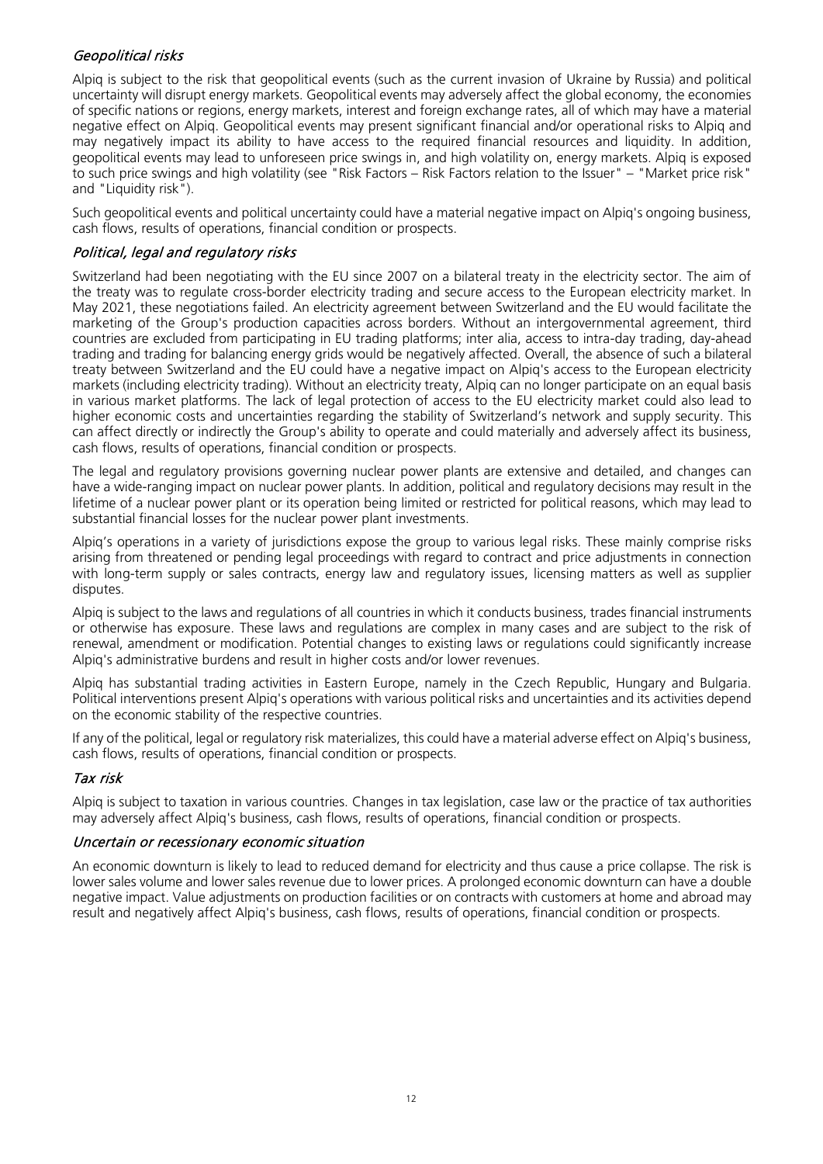#### Geopolitical risks

Alpiq is subject to the risk that geopolitical events (such as the current invasion of Ukraine by Russia) and political uncertainty will disrupt energy markets. Geopolitical events may adversely affect the global economy, the economies of specific nations or regions, energy markets, interest and foreign exchange rates, all of which may have a material negative effect on Alpiq. Geopolitical events may present significant financial and/or operational risks to Alpiq and may negatively impact its ability to have access to the required financial resources and liquidity. In addition, geopolitical events may lead to unforeseen price swings in, and high volatility on, energy markets. Alpiq is exposed to such price swings and high volatility (see "Risk Factors – Risk Factors relation to the Issuer" – "Market price risk" and "Liquidity risk").

Such geopolitical events and political uncertainty could have a material negative impact on Alpiq's ongoing business, cash flows, results of operations, financial condition or prospects.

#### Political, legal and regulatory risks

Switzerland had been negotiating with the EU since 2007 on a bilateral treaty in the electricity sector. The aim of the treaty was to regulate cross-border electricity trading and secure access to the European electricity market. In May 2021, these negotiations failed. An electricity agreement between Switzerland and the EU would facilitate the marketing of the Group's production capacities across borders. Without an intergovernmental agreement, third countries are excluded from participating in EU trading platforms; inter alia, access to intra-day trading, day-ahead trading and trading for balancing energy grids would be negatively affected. Overall, the absence of such a bilateral treaty between Switzerland and the EU could have a negative impact on Alpiq's access to the European electricity markets (including electricity trading). Without an electricity treaty, Alpiq can no longer participate on an equal basis in various market platforms. The lack of legal protection of access to the EU electricity market could also lead to higher economic costs and uncertainties regarding the stability of Switzerland's network and supply security. This can affect directly or indirectly the Group's ability to operate and could materially and adversely affect its business, cash flows, results of operations, financial condition or prospects.

The legal and regulatory provisions governing nuclear power plants are extensive and detailed, and changes can have a wide-ranging impact on nuclear power plants. In addition, political and regulatory decisions may result in the lifetime of a nuclear power plant or its operation being limited or restricted for political reasons, which may lead to substantial financial losses for the nuclear power plant investments.

Alpiq's operations in a variety of jurisdictions expose the group to various legal risks. These mainly comprise risks arising from threatened or pending legal proceedings with regard to contract and price adjustments in connection with long-term supply or sales contracts, energy law and regulatory issues, licensing matters as well as supplier disputes.

Alpiq is subject to the laws and regulations of all countries in which it conducts business, trades financial instruments or otherwise has exposure. These laws and regulations are complex in many cases and are subject to the risk of renewal, amendment or modification. Potential changes to existing laws or regulations could significantly increase Alpiq's administrative burdens and result in higher costs and/or lower revenues.

Alpiq has substantial trading activities in Eastern Europe, namely in the Czech Republic, Hungary and Bulgaria. Political interventions present Alpiq's operations with various political risks and uncertainties and its activities depend on the economic stability of the respective countries.

If any of the political, legal or regulatory risk materializes, this could have a material adverse effect on Alpiq's business, cash flows, results of operations, financial condition or prospects.

#### Tax risk

Alpiq is subject to taxation in various countries. Changes in tax legislation, case law or the practice of tax authorities may adversely affect Alpiq's business, cash flows, results of operations, financial condition or prospects.

#### Uncertain or recessionary economic situation

An economic downturn is likely to lead to reduced demand for electricity and thus cause a price collapse. The risk is lower sales volume and lower sales revenue due to lower prices. A prolonged economic downturn can have a double negative impact. Value adjustments on production facilities or on contracts with customers at home and abroad may result and negatively affect Alpiq's business, cash flows, results of operations, financial condition or prospects.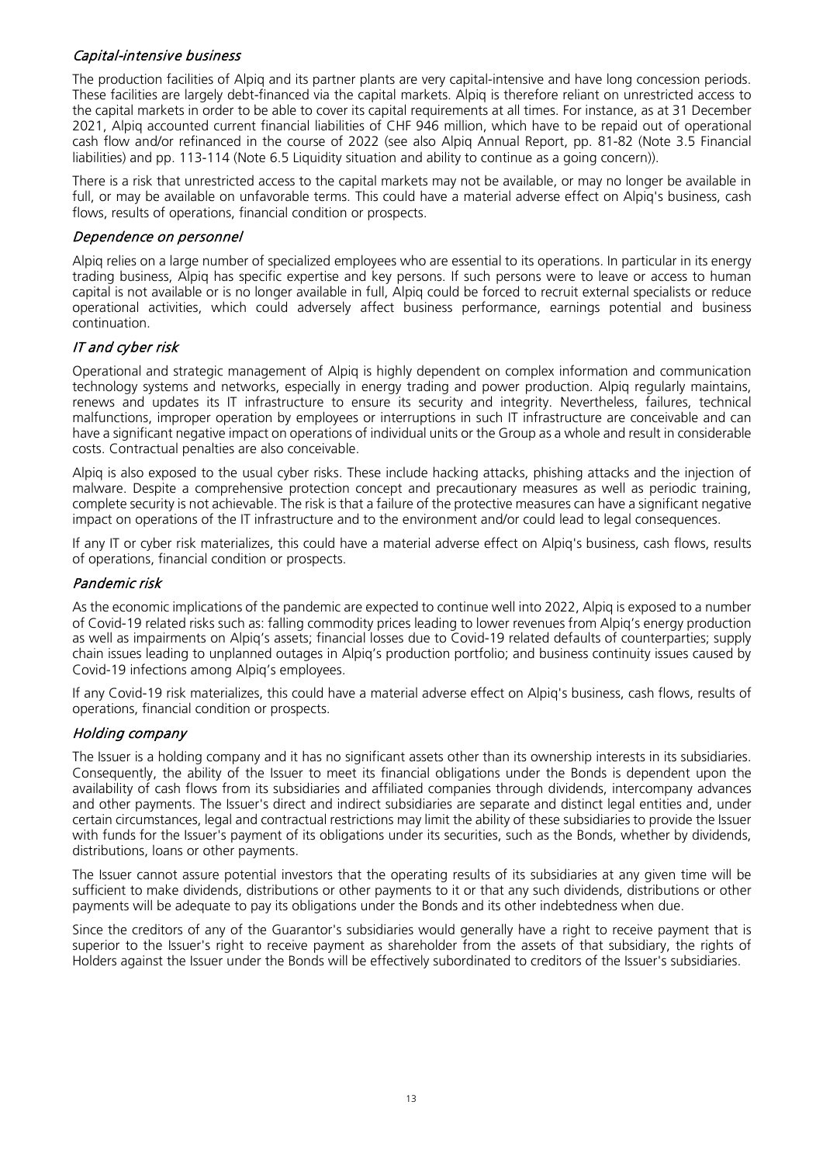#### Capital-intensive business

The production facilities of Alpiq and its partner plants are very capital-intensive and have long concession periods. These facilities are largely debt-financed via the capital markets. Alpiq is therefore reliant on unrestricted access to the capital markets in order to be able to cover its capital requirements at all times. For instance, as at 31 December 2021, Alpiq accounted current financial liabilities of CHF 946 million, which have to be repaid out of operational cash flow and/or refinanced in the course of 2022 (see also Alpiq Annual Report, pp. 81-82 (Note 3.5 Financial liabilities) and pp. 113-114 (Note 6.5 Liquidity situation and ability to continue as a going concern)).

There is a risk that unrestricted access to the capital markets may not be available, or may no longer be available in full, or may be available on unfavorable terms. This could have a material adverse effect on Alpiq's business, cash flows, results of operations, financial condition or prospects.

#### Dependence on personnel

Alpiq relies on a large number of specialized employees who are essential to its operations. In particular in its energy trading business, Alpiq has specific expertise and key persons. If such persons were to leave or access to human capital is not available or is no longer available in full, Alpiq could be forced to recruit external specialists or reduce operational activities, which could adversely affect business performance, earnings potential and business continuation.

#### IT and cyber risk

Operational and strategic management of Alpiq is highly dependent on complex information and communication technology systems and networks, especially in energy trading and power production. Alpiq regularly maintains, renews and updates its IT infrastructure to ensure its security and integrity. Nevertheless, failures, technical malfunctions, improper operation by employees or interruptions in such IT infrastructure are conceivable and can have a significant negative impact on operations of individual units or the Group as a whole and result in considerable costs. Contractual penalties are also conceivable.

Alpiq is also exposed to the usual cyber risks. These include hacking attacks, phishing attacks and the injection of malware. Despite a comprehensive protection concept and precautionary measures as well as periodic training, complete security is not achievable. The risk is that a failure of the protective measures can have a significant negative impact on operations of the IT infrastructure and to the environment and/or could lead to legal consequences.

If any IT or cyber risk materializes, this could have a material adverse effect on Alpiq's business, cash flows, results of operations, financial condition or prospects.

#### Pandemic risk

As the economic implications of the pandemic are expected to continue well into 2022, Alpiq is exposed to a number of Covid-19 related risks such as: falling commodity prices leading to lower revenues from Alpiq's energy production as well as impairments on Alpiq's assets; financial losses due to Covid-19 related defaults of counterparties; supply chain issues leading to unplanned outages in Alpiq's production portfolio; and business continuity issues caused by Covid-19 infections among Alpiq's employees.

If any Covid-19 risk materializes, this could have a material adverse effect on Alpiq's business, cash flows, results of operations, financial condition or prospects.

#### Holding company

The Issuer is a holding company and it has no significant assets other than its ownership interests in its subsidiaries. Consequently, the ability of the Issuer to meet its financial obligations under the Bonds is dependent upon the availability of cash flows from its subsidiaries and affiliated companies through dividends, intercompany advances and other payments. The Issuer's direct and indirect subsidiaries are separate and distinct legal entities and, under certain circumstances, legal and contractual restrictions may limit the ability of these subsidiaries to provide the Issuer with funds for the Issuer's payment of its obligations under its securities, such as the Bonds, whether by dividends, distributions, loans or other payments.

The Issuer cannot assure potential investors that the operating results of its subsidiaries at any given time will be sufficient to make dividends, distributions or other payments to it or that any such dividends, distributions or other payments will be adequate to pay its obligations under the Bonds and its other indebtedness when due.

Since the creditors of any of the Guarantor's subsidiaries would generally have a right to receive payment that is superior to the Issuer's right to receive payment as shareholder from the assets of that subsidiary, the rights of Holders against the Issuer under the Bonds will be effectively subordinated to creditors of the Issuer's subsidiaries.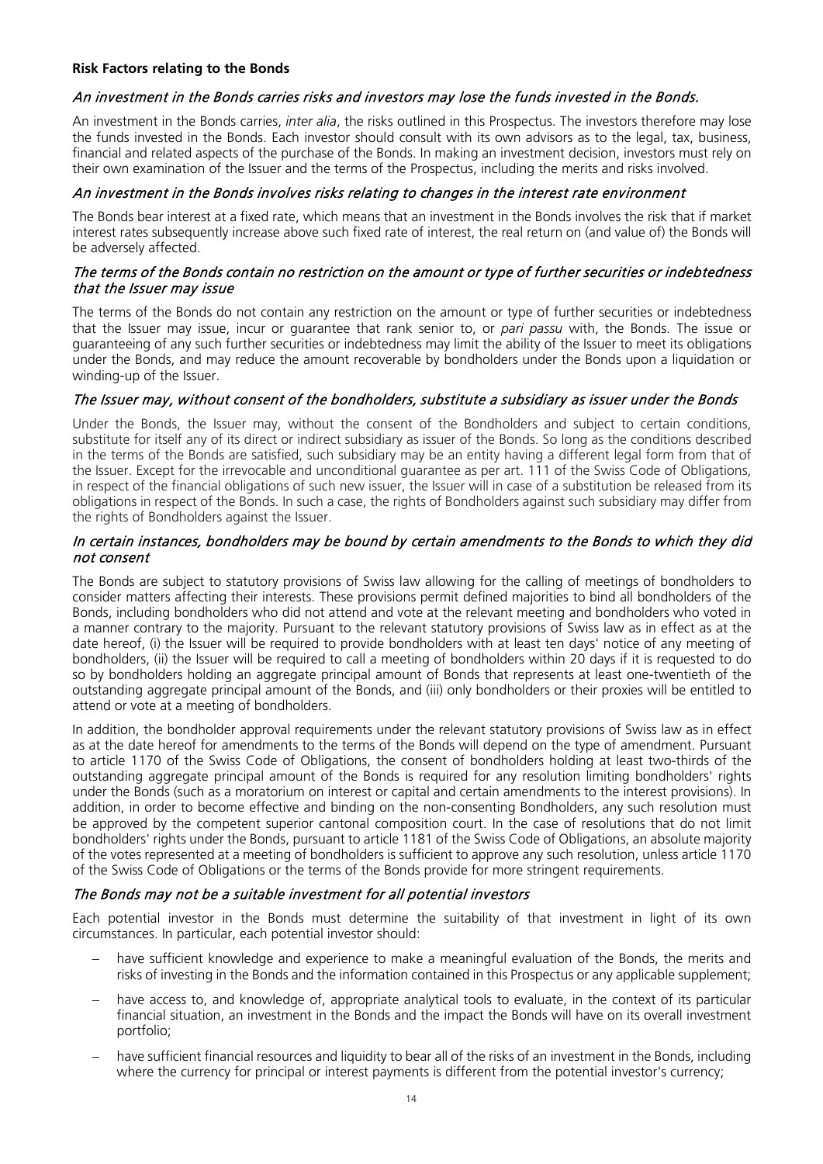#### **Risk Factors relating to the Bonds**

#### An investment in the Bonds carries risks and investors may lose the funds invested in the Bonds.

An investment in the Bonds carries, *inter alia*, the risks outlined in this Prospectus. The investors therefore may lose the funds invested in the Bonds. Each investor should consult with its own advisors as to the legal, tax, business, financial and related aspects of the purchase of the Bonds. In making an investment decision, investors must rely on their own examination of the Issuer and the terms of the Prospectus, including the merits and risks involved.

#### An investment in the Bonds involves risks relating to changes in the interest rate environment

The Bonds bear interest at a fixed rate, which means that an investment in the Bonds involves the risk that if market interest rates subsequently increase above such fixed rate of interest, the real return on (and value of) the Bonds will be adversely affected.

#### The terms of the Bonds contain no restriction on the amount or type of further securities or indebtedness that the Issuer may issue

The terms of the Bonds do not contain any restriction on the amount or type of further securities or indebtedness that the Issuer may issue, incur or guarantee that rank senior to, or *pari passu* with, the Bonds. The issue or guaranteeing of any such further securities or indebtedness may limit the ability of the Issuer to meet its obligations under the Bonds, and may reduce the amount recoverable by bondholders under the Bonds upon a liquidation or winding-up of the Issuer.

#### The Issuer may, without consent of the bondholders, substitute a subsidiary as issuer under the Bonds

Under the Bonds, the Issuer may, without the consent of the Bondholders and subject to certain conditions, substitute for itself any of its direct or indirect subsidiary as issuer of the Bonds. So long as the conditions described in the terms of the Bonds are satisfied, such subsidiary may be an entity having a different legal form from that of the Issuer. Except for the irrevocable and unconditional guarantee as per art. 111 of the Swiss Code of Obligations, in respect of the financial obligations of such new issuer, the Issuer will in case of a substitution be released from its obligations in respect of the Bonds. In such a case, the rights of Bondholders against such subsidiary may differ from the rights of Bondholders against the Issuer.

#### In certain instances, bondholders may be bound by certain amendments to the Bonds to which they did not consent

The Bonds are subject to statutory provisions of Swiss law allowing for the calling of meetings of bondholders to consider matters affecting their interests. These provisions permit defined majorities to bind all bondholders of the Bonds, including bondholders who did not attend and vote at the relevant meeting and bondholders who voted in a manner contrary to the majority. Pursuant to the relevant statutory provisions of Swiss law as in effect as at the date hereof, (i) the Issuer will be required to provide bondholders with at least ten days' notice of any meeting of bondholders, (ii) the Issuer will be required to call a meeting of bondholders within 20 days if it is requested to do so by bondholders holding an aggregate principal amount of Bonds that represents at least one-twentieth of the outstanding aggregate principal amount of the Bonds, and (iii) only bondholders or their proxies will be entitled to attend or vote at a meeting of bondholders.

In addition, the bondholder approval requirements under the relevant statutory provisions of Swiss law as in effect as at the date hereof for amendments to the terms of the Bonds will depend on the type of amendment. Pursuant to article 1170 of the Swiss Code of Obligations, the consent of bondholders holding at least two-thirds of the outstanding aggregate principal amount of the Bonds is required for any resolution limiting bondholders' rights under the Bonds (such as a moratorium on interest or capital and certain amendments to the interest provisions). In addition, in order to become effective and binding on the non-consenting Bondholders, any such resolution must be approved by the competent superior cantonal composition court. In the case of resolutions that do not limit bondholders' rights under the Bonds, pursuant to article 1181 of the Swiss Code of Obligations, an absolute majority of the votes represented at a meeting of bondholders is sufficient to approve any such resolution, unless article 1170 of the Swiss Code of Obligations or the terms of the Bonds provide for more stringent requirements.

#### The Bonds may not be a suitable investment for all potential investors

Each potential investor in the Bonds must determine the suitability of that investment in light of its own circumstances. In particular, each potential investor should:

- have sufficient knowledge and experience to make a meaningful evaluation of the Bonds, the merits and risks of investing in the Bonds and the information contained in this Prospectus or any applicable supplement;
- have access to, and knowledge of, appropriate analytical tools to evaluate, in the context of its particular financial situation, an investment in the Bonds and the impact the Bonds will have on its overall investment portfolio;
- − have sufficient financial resources and liquidity to bear all of the risks of an investment in the Bonds, including where the currency for principal or interest payments is different from the potential investor's currency;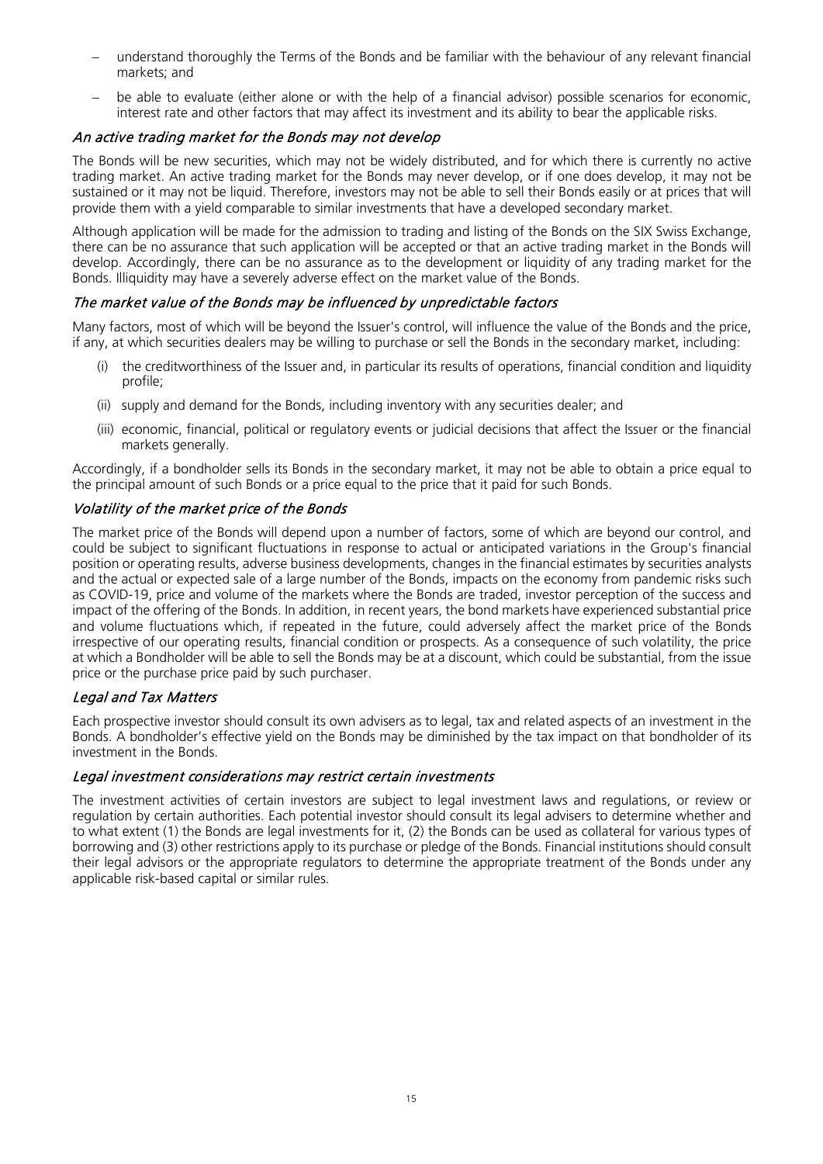- understand thoroughly the Terms of the Bonds and be familiar with the behaviour of any relevant financial markets; and
- − be able to evaluate (either alone or with the help of a financial advisor) possible scenarios for economic, interest rate and other factors that may affect its investment and its ability to bear the applicable risks.

#### An active trading market for the Bonds may not develop

The Bonds will be new securities, which may not be widely distributed, and for which there is currently no active trading market. An active trading market for the Bonds may never develop, or if one does develop, it may not be sustained or it may not be liquid. Therefore, investors may not be able to sell their Bonds easily or at prices that will provide them with a yield comparable to similar investments that have a developed secondary market.

Although application will be made for the admission to trading and listing of the Bonds on the SIX Swiss Exchange, there can be no assurance that such application will be accepted or that an active trading market in the Bonds will develop. Accordingly, there can be no assurance as to the development or liquidity of any trading market for the Bonds. Illiquidity may have a severely adverse effect on the market value of the Bonds.

#### The market value of the Bonds may be influenced by unpredictable factors

Many factors, most of which will be beyond the Issuer's control, will influence the value of the Bonds and the price, if any, at which securities dealers may be willing to purchase or sell the Bonds in the secondary market, including:

- (i) the creditworthiness of the Issuer and, in particular its results of operations, financial condition and liquidity profile;
- (ii) supply and demand for the Bonds, including inventory with any securities dealer; and
- (iii) economic, financial, political or regulatory events or judicial decisions that affect the Issuer or the financial markets generally.

Accordingly, if a bondholder sells its Bonds in the secondary market, it may not be able to obtain a price equal to the principal amount of such Bonds or a price equal to the price that it paid for such Bonds.

#### Volatility of the market price of the Bonds

The market price of the Bonds will depend upon a number of factors, some of which are beyond our control, and could be subject to significant fluctuations in response to actual or anticipated variations in the Group's financial position or operating results, adverse business developments, changes in the financial estimates by securities analysts and the actual or expected sale of a large number of the Bonds, impacts on the economy from pandemic risks such as COVID-19, price and volume of the markets where the Bonds are traded, investor perception of the success and impact of the offering of the Bonds. In addition, in recent years, the bond markets have experienced substantial price and volume fluctuations which, if repeated in the future, could adversely affect the market price of the Bonds irrespective of our operating results, financial condition or prospects. As a consequence of such volatility, the price at which a Bondholder will be able to sell the Bonds may be at a discount, which could be substantial, from the issue price or the purchase price paid by such purchaser.

#### Legal and Tax Matters

Each prospective investor should consult its own advisers as to legal, tax and related aspects of an investment in the Bonds. A bondholder's effective yield on the Bonds may be diminished by the tax impact on that bondholder of its investment in the Bonds.

#### Legal investment considerations may restrict certain investments

The investment activities of certain investors are subject to legal investment laws and regulations, or review or regulation by certain authorities. Each potential investor should consult its legal advisers to determine whether and to what extent (1) the Bonds are legal investments for it, (2) the Bonds can be used as collateral for various types of borrowing and (3) other restrictions apply to its purchase or pledge of the Bonds. Financial institutions should consult their legal advisors or the appropriate regulators to determine the appropriate treatment of the Bonds under any applicable risk-based capital or similar rules.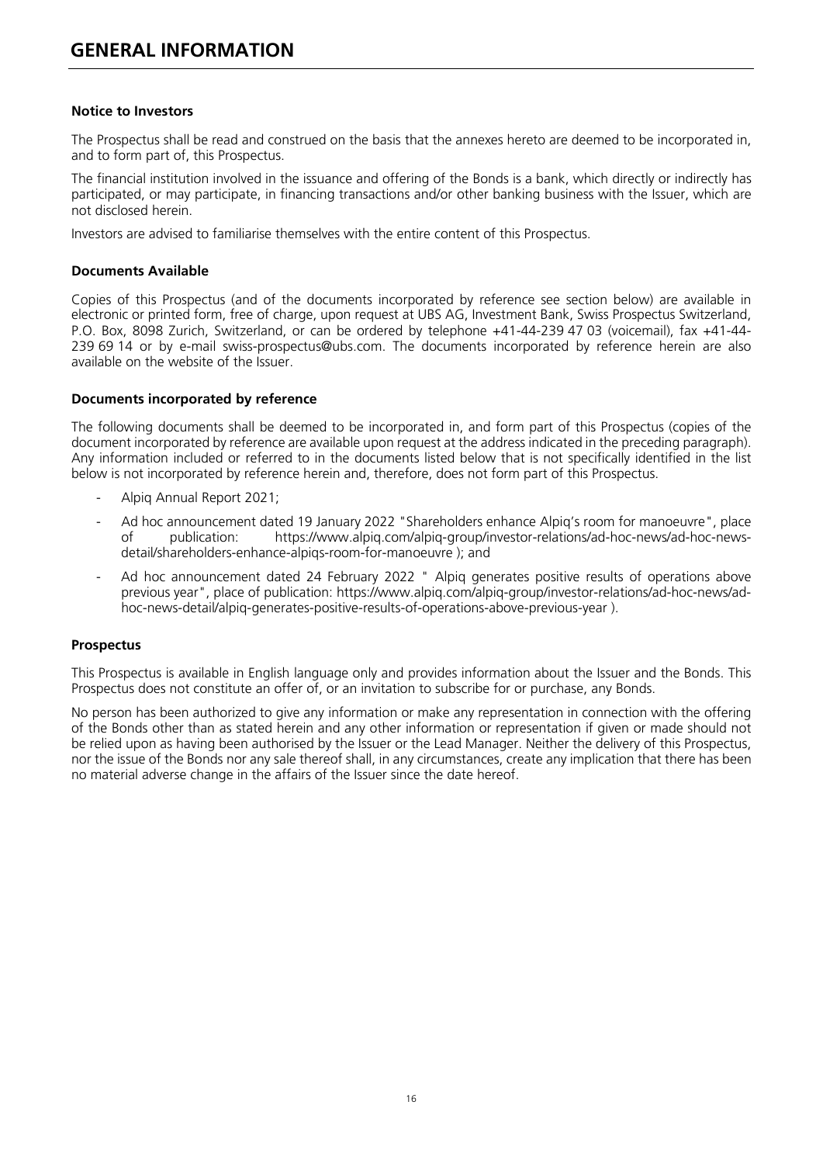#### <span id="page-16-0"></span>**Notice to Investors**

The Prospectus shall be read and construed on the basis that the annexes hereto are deemed to be incorporated in, and to form part of, this Prospectus.

The financial institution involved in the issuance and offering of the Bonds is a bank, which directly or indirectly has participated, or may participate, in financing transactions and/or other banking business with the Issuer, which are not disclosed herein.

Investors are advised to familiarise themselves with the entire content of this Prospectus.

#### **Documents Available**

Copies of this Prospectus (and of the documents incorporated by reference see section below) are available in electronic or printed form, free of charge, upon request at UBS AG, Investment Bank, Swiss Prospectus Switzerland, P.O. Box, 8098 Zurich, Switzerland, or can be ordered by telephone +41-44-239 47 03 (voicemail), fax +41-44- 239 69 14 or by e-mail [swiss-prospectus@ubs.com.](mailto:swiss-prospectus@ubs.com) The documents incorporated by reference herein are also available on the website of the Issuer.

#### **Documents incorporated by reference**

The following documents shall be deemed to be incorporated in, and form part of this Prospectus (copies of the document incorporated by reference are available upon request at the address indicated in the preceding paragraph). Any information included or referred to in the documents listed below that is not specifically identified in the list below is not incorporated by reference herein and, therefore, does not form part of this Prospectus.

- Alpig Annual Report 2021;
- Ad hoc announcement dated 19 January 2022 "Shareholders enhance Alpiq's room for manoeuvre", place<br>of publication: https://www.alpig.com/alpig-group/investor-relations/ad-hoc-news/ad-hoc-newspublication: [https://www.alpiq.com/alpiq-group/investor-relations/ad-hoc-news/ad-hoc-news](https://www.alpiq.com/alpiq-group/investor-relations/ad-hoc-news/ad-hoc-news-detail/shareholders-enhance-alpiqs-room-for-manoeuvre)[detail/shareholders-enhance-alpiqs-room-for-manoeuvre](https://www.alpiq.com/alpiq-group/investor-relations/ad-hoc-news/ad-hoc-news-detail/shareholders-enhance-alpiqs-room-for-manoeuvre) ); and
- Ad hoc announcement dated 24 February 2022 " Alpiq generates positive results of operations above previous year", place of publication: [https://www.alpiq.com/alpiq-group/investor-relations/ad-hoc-news/ad](https://www.alpiq.com/alpiq-group/investor-relations/ad-hoc-news/ad-hoc-news-detail/alpiq-generates-positive-results-of-operations-above-previous-year)[hoc-news-detail/alpiq-generates-positive-results-of-operations-above-previous-year](https://www.alpiq.com/alpiq-group/investor-relations/ad-hoc-news/ad-hoc-news-detail/alpiq-generates-positive-results-of-operations-above-previous-year) ).

#### **Prospectus**

This Prospectus is available in English language only and provides information about the Issuer and the Bonds. This Prospectus does not constitute an offer of, or an invitation to subscribe for or purchase, any Bonds.

No person has been authorized to give any information or make any representation in connection with the offering of the Bonds other than as stated herein and any other information or representation if given or made should not be relied upon as having been authorised by the Issuer or the Lead Manager. Neither the delivery of this Prospectus, nor the issue of the Bonds nor any sale thereof shall, in any circumstances, create any implication that there has been no material adverse change in the affairs of the Issuer since the date hereof.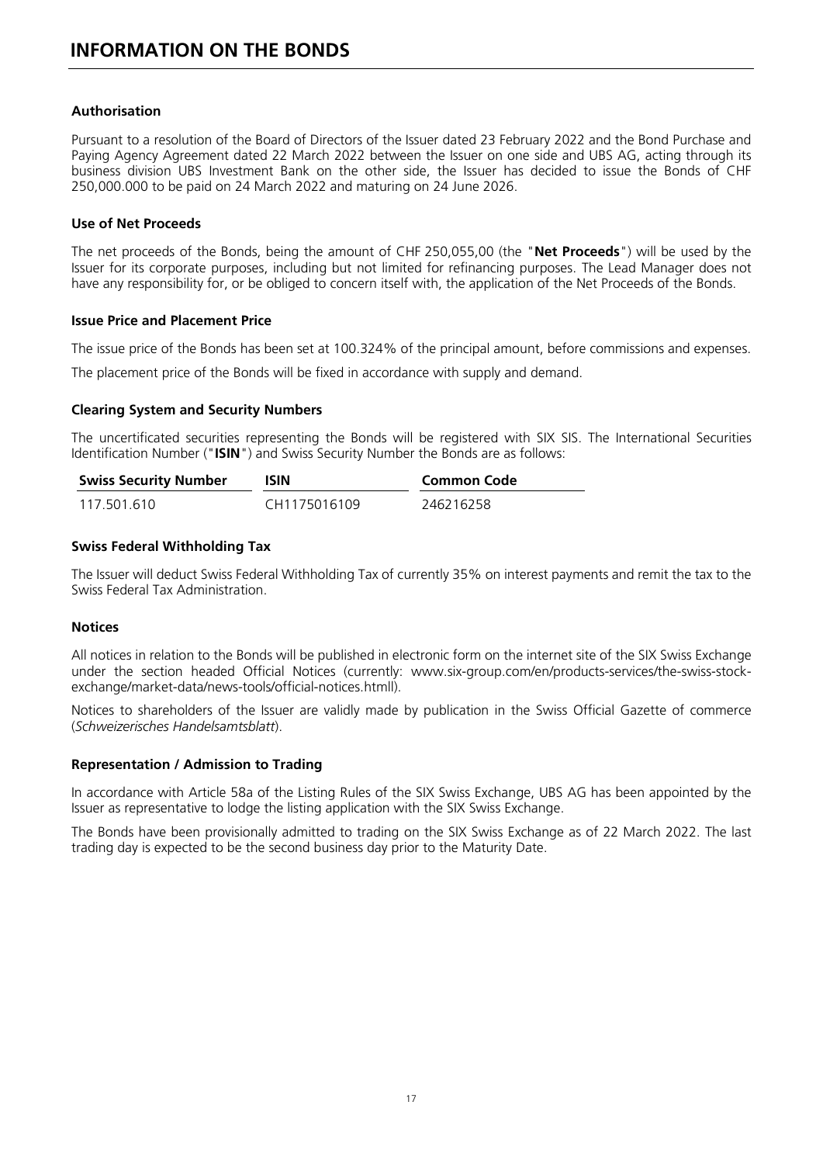#### <span id="page-17-0"></span>**Authorisation**

Pursuant to a resolution of the Board of Directors of the Issuer dated 23 February 2022 and the Bond Purchase and Paying Agency Agreement dated 22 March 2022 between the Issuer on one side and UBS AG, acting through its business division UBS Investment Bank on the other side, the Issuer has decided to issue the Bonds of CHF 250,000.000 to be paid on 24 March 2022 and maturing on 24 June 2026.

#### **Use of Net Proceeds**

The net proceeds of the Bonds, being the amount of CHF 250,055,00 (the "**Net Proceeds**") will be used by the Issuer for its corporate purposes, including but not limited for refinancing purposes. The Lead Manager does not have any responsibility for, or be obliged to concern itself with, the application of the Net Proceeds of the Bonds.

#### **Issue Price and Placement Price**

The issue price of the Bonds has been set at 100.324% of the principal amount, before commissions and expenses.

The placement price of the Bonds will be fixed in accordance with supply and demand.

#### **Clearing System and Security Numbers**

The uncertificated securities representing the Bonds will be registered with SIX SIS. The International Securities Identification Number ("**ISIN**") and Swiss Security Number the Bonds are as follows:

| <b>Swiss Security Number</b> | <b>ISIN</b>  | Common Code |
|------------------------------|--------------|-------------|
| 117.501.610                  | CH1175016109 | 246216258   |

#### **Swiss Federal Withholding Tax**

The Issuer will deduct Swiss Federal Withholding Tax of currently 35% on interest payments and remit the tax to the Swiss Federal Tax Administration.

#### **Notices**

All notices in relation to the Bonds will be published in electronic form on the internet site of the SIX Swiss Exchange under the section headed Official Notices (currently: www.six-group.com/en/products-services/the-swiss-stockexchange/market-data/news-tools/official-notices.htmll).

Notices to shareholders of the Issuer are validly made by publication in the Swiss Official Gazette of commerce (*Schweizerisches Handelsamtsblatt*).

#### **Representation / Admission to Trading**

In accordance with Article 58a of the Listing Rules of the SIX Swiss Exchange, UBS AG has been appointed by the Issuer as representative to lodge the listing application with the SIX Swiss Exchange.

The Bonds have been provisionally admitted to trading on the SIX Swiss Exchange as of 22 March 2022. The last trading day is expected to be the second business day prior to the Maturity Date.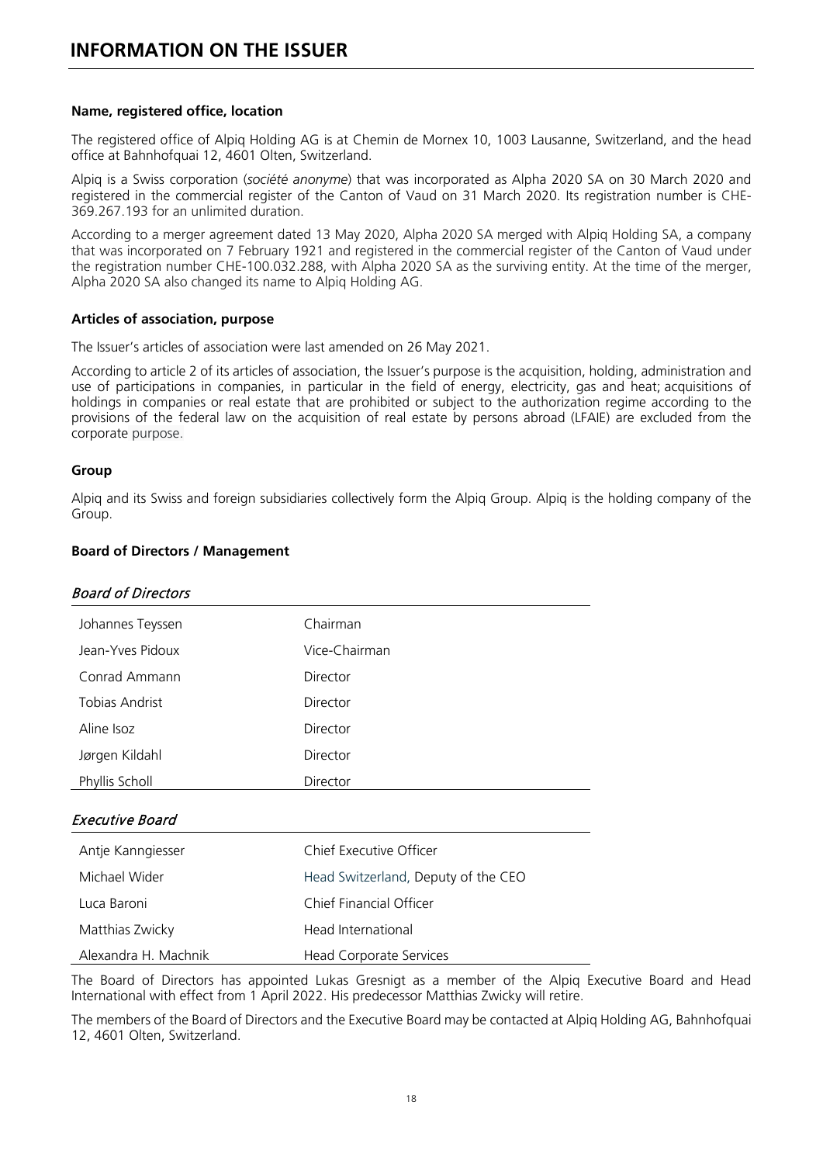#### <span id="page-18-0"></span>**Name, registered office, location**

The registered office of Alpiq Holding AG is at Chemin [de Mornex 10, 1003 Lausanne,](https://www.google.com/maps/search/?api=1&query=Ch.%20de%20Mornex%2010,1003%20Lausanne) Switzerland, and the head office at Bahnhofquai 12, 4601 Olten, Switzerland.

Alpiq is a Swiss corporation (*société anonyme*) that was incorporated as Alpha 2020 SA on 30 March 2020 and registered in the commercial register of the Canton of Vaud on 31 March 2020. Its registration number is CHE-369.267.193 for an unlimited duration.

According to a merger agreement dated 13 May 2020, Alpha 2020 SA merged with Alpiq Holding SA, a company that was incorporated on 7 February 1921 and registered in the commercial register of the Canton of Vaud under the registration number CHE-100.032.288, with Alpha 2020 SA as the surviving entity. At the time of the merger, Alpha 2020 SA also changed its name to Alpiq Holding AG.

#### **Articles of association, purpose**

The Issuer's articles of association were last amended on 26 May 2021.

According to article 2 of its articles of association, the Issuer's purpose is the acquisition, holding, administration and use of participations in companies, in particular in the field of energy, electricity, gas and heat; acquisitions of holdings in companies or real estate that are prohibited or subject to the authorization regime according to the provisions of the federal law on the acquisition of real estate by persons abroad (LFAIE) are excluded from the corporate purpose.

#### **Group**

Alpiq and its Swiss and foreign subsidiaries collectively form the Alpiq Group. Alpiq is the holding company of the Group.

#### **Board of Directors / Management**

| Chairman      |
|---------------|
|               |
| Vice-Chairman |
| Director      |
| Director      |
| Director      |
| Director      |
| Director      |
|               |

#### Executive Board

| Antje Kanngiesser    | Chief Executive Officer             |
|----------------------|-------------------------------------|
| Michael Wider        | Head Switzerland, Deputy of the CEO |
| Luca Baroni          | Chief Financial Officer             |
| Matthias Zwicky      | Head International                  |
| Alexandra H. Machnik | Head Corporate Services             |

The Board of Directors has appointed Lukas Gresnigt as a member of the Alpiq Executive Board and Head International with effect from 1 April 2022. His predecessor Matthias Zwicky will retire.

The members of the Board of Directors and the Executive Board may be contacted at Alpiq Holding AG, Bahnhofquai 12, 4601 Olten, Switzerland.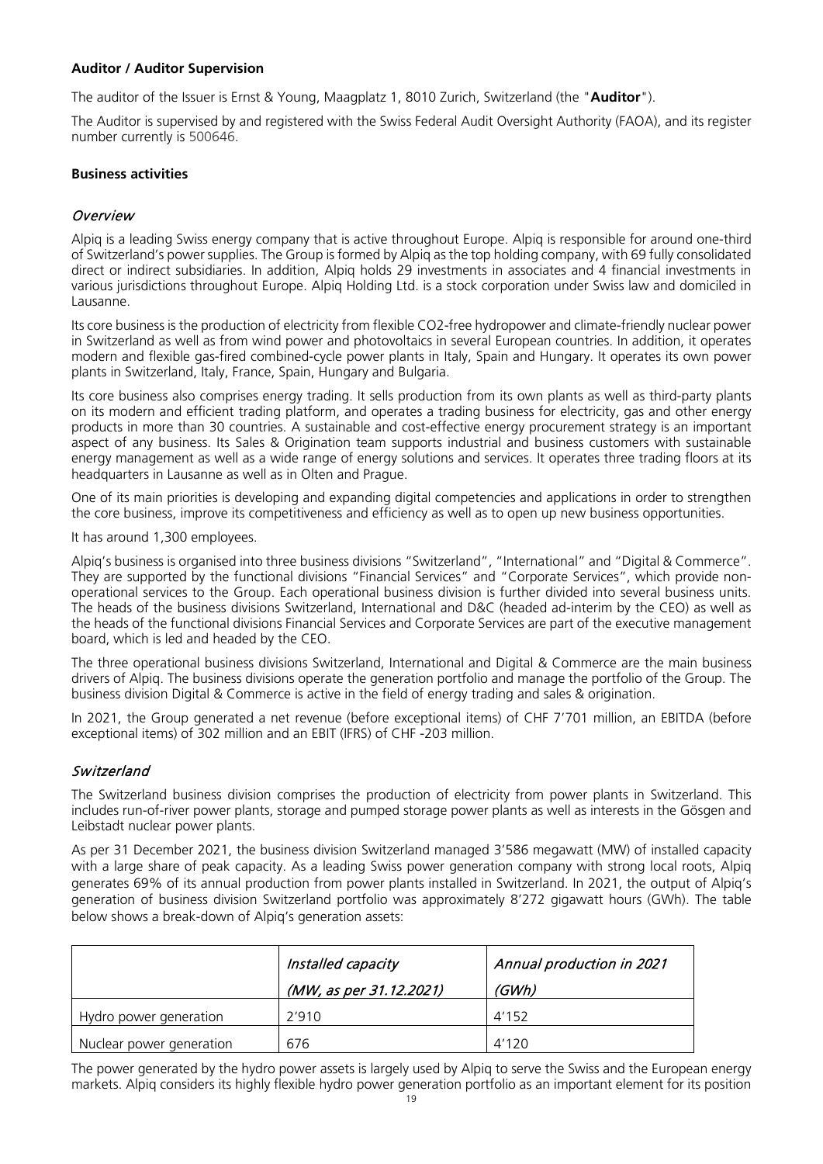#### **Auditor / Auditor Supervision**

The auditor of the Issuer is Ernst & Young, Maagplatz 1, 8010 Zurich, Switzerland (the "**Auditor**").

The Auditor is supervised by and registered with the Swiss Federal Audit Oversight Authority (FAOA), and its register number currently is 500646.

#### **Business activities**

#### Overview

Alpiq is a leading Swiss energy company that is active throughout Europe. Alpiq is responsible for around one-third of Switzerland's power supplies. The Group is formed by Alpiq as the top holding company, with 69 fully consolidated direct or indirect subsidiaries. In addition, Alpiq holds 29 investments in associates and 4 financial investments in various jurisdictions throughout Europe. Alpiq Holding Ltd. is a stock corporation under Swiss law and domiciled in Lausanne.

Its core business is the production of electricity from flexible CO2-free hydropower and climate-friendly nuclear power in Switzerland as well as from wind power and photovoltaics in several European countries. In addition, it operates modern and flexible gas-fired combined-cycle power plants in Italy, Spain and Hungary. It operates its own power plants in Switzerland, Italy, France, Spain, Hungary and Bulgaria.

Its core business also comprises energy trading. It sells production from its own plants as well as third-party plants on its modern and efficient trading platform, and operates a trading business for electricity, gas and other energy products in more than 30 countries. A sustainable and cost-effective energy procurement strategy is an important aspect of any business. Its Sales & Origination team supports industrial and business customers with sustainable energy management as well as a wide range of energy solutions and services. It operates three trading floors at its headquarters in Lausanne as well as in Olten and Prague.

One of its main priorities is developing and expanding digital competencies and applications in order to strengthen the core business, improve its competitiveness and efficiency as well as to open up new business opportunities.

It has around 1,300 employees.

Alpiq's business is organised into three business divisions "Switzerland", "International" and "Digital & Commerce". They are supported by the functional divisions "Financial Services" and "Corporate Services", which provide nonoperational services to the Group. Each operational business division is further divided into several business units. The heads of the business divisions Switzerland, International and D&C (headed ad-interim by the CEO) as well as the heads of the functional divisions Financial Services and Corporate Services are part of the executive management board, which is led and headed by the CEO.

The three operational business divisions Switzerland, International and Digital & Commerce are the main business drivers of Alpiq. The business divisions operate the generation portfolio and manage the portfolio of the Group. The business division Digital & Commerce is active in the field of energy trading and sales & origination.

In 2021, the Group generated a net revenue (before exceptional items) of CHF 7'701 million, an EBITDA (before exceptional items) of 302 million and an EBIT (IFRS) of CHF -203 million.

#### **Switzerland**

The Switzerland business division comprises the production of electricity from power plants in Switzerland. This includes run-of-river power plants, storage and pumped storage power plants as well as interests in the Gösgen and Leibstadt nuclear power plants.

As per 31 December 2021, the business division Switzerland managed 3'586 megawatt (MW) of installed capacity with a large share of peak capacity. As a leading Swiss power generation company with strong local roots, Alpiq generates 69% of its annual production from power plants installed in Switzerland. In 2021, the output of Alpiq's generation of business division Switzerland portfolio was approximately 8'272 gigawatt hours (GWh). The table below shows a break-down of Alpiq's generation assets:

|                          | Installed capacity      | Annual production in 2021 |
|--------------------------|-------------------------|---------------------------|
|                          | (MW, as per 31.12.2021) | (GWh)                     |
| Hydro power generation   | 2'910                   | 4'152                     |
| Nuclear power generation | 676                     | 4'120                     |

The power generated by the hydro power assets is largely used by Alpiq to serve the Swiss and the European energy markets. Alpiq considers its highly flexible hydro power generation portfolio as an important element for its position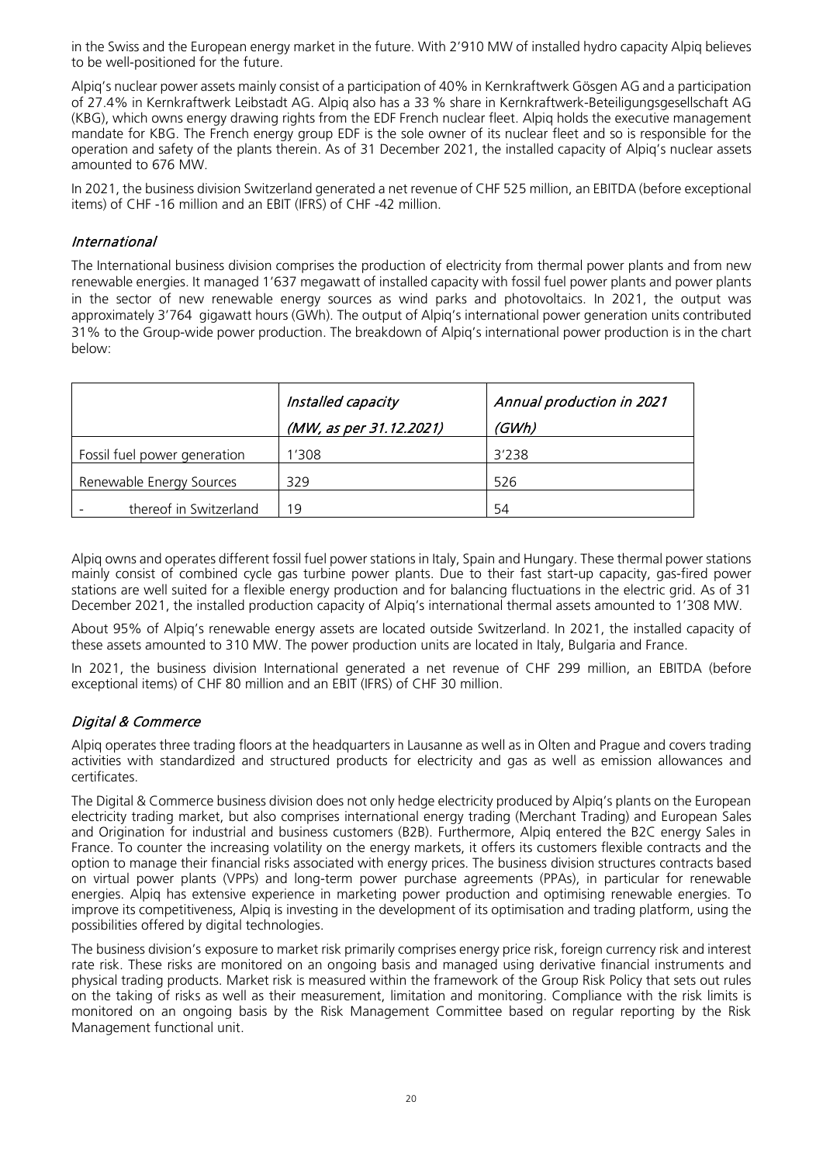in the Swiss and the European energy market in the future. With 2'910 MW of installed hydro capacity Alpiq believes to be well-positioned for the future.

Alpiq's nuclear power assets mainly consist of a participation of 40% in Kernkraftwerk Gösgen AG and a participation of 27.4% in Kernkraftwerk Leibstadt AG. Alpiq also has a 33 % share in Kernkraftwerk-Beteiligungsgesellschaft AG (KBG), which owns energy drawing rights from the EDF French nuclear fleet. Alpiq holds the executive management mandate for KBG. The French energy group EDF is the sole owner of its nuclear fleet and so is responsible for the operation and safety of the plants therein. As of 31 December 2021, the installed capacity of Alpiq's nuclear assets amounted to 676 MW.

In 2021, the business division Switzerland generated a net revenue of CHF 525 million, an EBITDA (before exceptional items) of CHF -16 million and an EBIT (IFRS) of CHF -42 million.

#### International

The International business division comprises the production of electricity from thermal power plants and from new renewable energies. It managed 1'637 megawatt of installed capacity with fossil fuel power plants and power plants in the sector of new renewable energy sources as wind parks and photovoltaics. In 2021, the output was approximately 3'764 gigawatt hours (GWh). The output of Alpiq's international power generation units contributed 31% to the Group-wide power production. The breakdown of Alpiq's international power production is in the chart below:

|                              | Installed capacity      | Annual production in 2021 |
|------------------------------|-------------------------|---------------------------|
|                              | (MW, as per 31.12.2021) | (GWh)                     |
| Fossil fuel power generation | '308                    | 3'238                     |
| Renewable Energy Sources     | 329                     | 526                       |
| thereof in Switzerland       | 19                      | 54                        |

Alpiq owns and operates different fossil fuel power stations in Italy, Spain and Hungary. These thermal power stations mainly consist of combined cycle gas turbine power plants. Due to their fast start-up capacity, gas-fired power stations are well suited for a flexible energy production and for balancing fluctuations in the electric grid. As of 31 December 2021, the installed production capacity of Alpiq's international thermal assets amounted to 1'308 MW.

About 95% of Alpiq's renewable energy assets are located outside Switzerland. In 2021, the installed capacity of these assets amounted to 310 MW. The power production units are located in Italy, Bulgaria and France.

In 2021, the business division International generated a net revenue of CHF 299 million, an EBITDA (before exceptional items) of CHF 80 million and an EBIT (IFRS) of CHF 30 million.

#### Digital & Commerce

Alpiq operates three trading floors at the headquarters in Lausanne as well as in Olten and Prague and covers trading activities with standardized and structured products for electricity and gas as well as emission allowances and certificates.

The Digital & Commerce business division does not only hedge electricity produced by Alpiq's plants on the European electricity trading market, but also comprises international energy trading (Merchant Trading) and European Sales and Origination for industrial and business customers (B2B). Furthermore, Alpiq entered the B2C energy Sales in France. To counter the increasing volatility on the energy markets, it offers its customers flexible contracts and the option to manage their financial risks associated with energy prices. The business division structures contracts based on virtual power plants (VPPs) and long-term power purchase agreements (PPAs), in particular for renewable energies. Alpiq has extensive experience in marketing power production and optimising renewable energies. To improve its competitiveness, Alpiq is investing in the development of its optimisation and trading platform, using the possibilities offered by digital technologies.

The business division's exposure to market risk primarily comprises energy price risk, foreign currency risk and interest rate risk. These risks are monitored on an ongoing basis and managed using derivative financial instruments and physical trading products. Market risk is measured within the framework of the Group Risk Policy that sets out rules on the taking of risks as well as their measurement, limitation and monitoring. Compliance with the risk limits is monitored on an ongoing basis by the Risk Management Committee based on regular reporting by the Risk Management functional unit.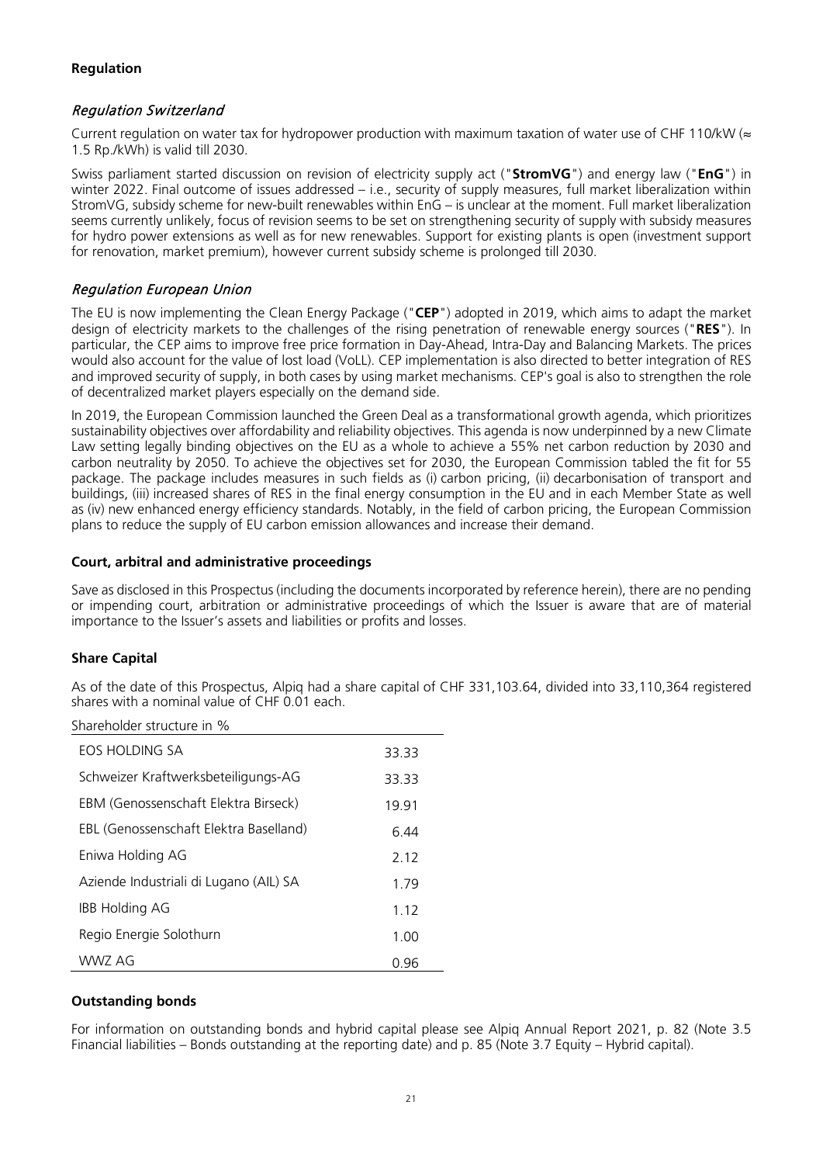#### **Regulation**

#### Regulation Switzerland

Current regulation on water tax for hydropower production with maximum taxation of water use of CHF 110/kW ( $\approx$ 1.5 Rp./kWh) is valid till 2030.

Swiss parliament started discussion on revision of electricity supply act ("**StromVG**") and energy law ("**EnG**") in winter 2022. Final outcome of issues addressed – i.e., security of supply measures, full market liberalization within StromVG, subsidy scheme for new-built renewables within EnG – is unclear at the moment. Full market liberalization seems currently unlikely, focus of revision seems to be set on strengthening security of supply with subsidy measures for hydro power extensions as well as for new renewables. Support for existing plants is open (investment support for renovation, market premium), however current subsidy scheme is prolonged till 2030.

#### Regulation European Union

The EU is now implementing the Clean Energy Package ("**CEP**") adopted in 2019, which aims to adapt the market design of electricity markets to the challenges of the rising penetration of renewable energy sources ("**RES**"). In particular, the CEP aims to improve free price formation in Day-Ahead, Intra-Day and Balancing Markets. The prices would also account for the value of lost load (VoLL). CEP implementation is also directed to better integration of RES and improved security of supply, in both cases by using market mechanisms. CEP's goal is also to strengthen the role of decentralized market players especially on the demand side.

In 2019, the European Commission launched the Green Deal as a transformational growth agenda, which prioritizes sustainability objectives over affordability and reliability objectives. This agenda is now underpinned by a new Climate Law setting legally binding objectives on the EU as a whole to achieve a 55% net carbon reduction by 2030 and carbon neutrality by 2050. To achieve the objectives set for 2030, the European Commission tabled the fit for 55 package. The package includes measures in such fields as (i) carbon pricing, (ii) decarbonisation of transport and buildings, (iii) increased shares of RES in the final energy consumption in the EU and in each Member State as well as (iv) new enhanced energy efficiency standards. Notably, in the field of carbon pricing, the European Commission plans to reduce the supply of EU carbon emission allowances and increase their demand.

#### **Court, arbitral and administrative proceedings**

Save as disclosed in this Prospectus (including the documents incorporated by reference herein), there are no pending or impending court, arbitration or administrative proceedings of which the Issuer is aware that are of material importance to the Issuer's assets and liabilities or profits and losses.

#### **Share Capital**

As of the date of this Prospectus, Alpiq had a share capital of CHF 331,103.64, divided into 33,110,364 registered shares with a nominal value of CHF 0.01 each.

| FOS HOLDING SA                         | 33.33 |
|----------------------------------------|-------|
| Schweizer Kraftwerksbeteiligungs-AG    | 33.33 |
| EBM (Genossenschaft Elektra Birseck)   | 19.91 |
| EBL (Genossenschaft Elektra Baselland) | 6.44  |
| Eniwa Holding AG                       | 2.12  |
| Aziende Industriali di Lugano (AIL) SA | 1.79  |
| <b>IBB Holding AG</b>                  | 1.12  |
| Regio Energie Solothurn                | 1.00  |
| WWZ AG                                 | 0.96  |

#### **Outstanding bonds**

For information on outstanding bonds and hybrid capital please see Alpiq Annual Report 2021, p. 82 (Note 3.5 Financial liabilities – Bonds outstanding at the reporting date) and p. 85 (Note 3.7 Equity – Hybrid capital).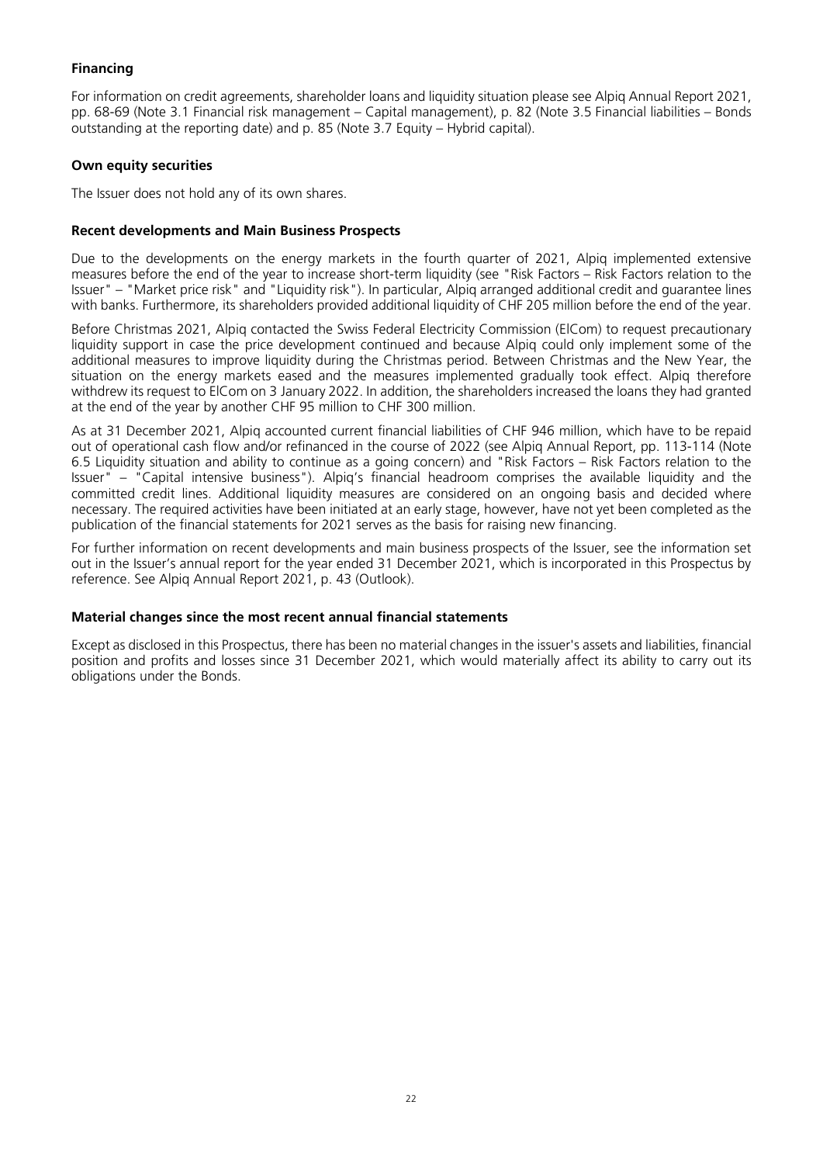#### **Financing**

For information on credit agreements, shareholder loans and liquidity situation please see Alpiq Annual Report 2021, pp. 68-69 (Note 3.1 Financial risk management – Capital management), p. 82 (Note 3.5 Financial liabilities – Bonds outstanding at the reporting date) and p. 85 (Note 3.7 Equity – Hybrid capital).

#### **Own equity securities**

The Issuer does not hold any of its own shares.

#### **Recent developments and Main Business Prospects**

Due to the developments on the energy markets in the fourth quarter of 2021, Alpiq implemented extensive measures before the end of the year to increase short-term liquidity (see "Risk Factors – Risk Factors relation to the Issuer" – "Market price risk" and "Liquidity risk"). In particular, Alpiq arranged additional credit and guarantee lines with banks. Furthermore, its shareholders provided additional liquidity of CHF 205 million before the end of the year.

Before Christmas 2021, Alpiq contacted the Swiss Federal Electricity Commission (ElCom) to request precautionary liquidity support in case the price development continued and because Alpiq could only implement some of the additional measures to improve liquidity during the Christmas period. Between Christmas and the New Year, the situation on the energy markets eased and the measures implemented gradually took effect. Alpig therefore withdrew its request to ElCom on 3 January 2022. In addition, the shareholders increased the loans they had granted at the end of the year by another CHF 95 million to CHF 300 million.

As at 31 December 2021, Alpiq accounted current financial liabilities of CHF 946 million, which have to be repaid out of operational cash flow and/or refinanced in the course of 2022 (see Alpiq Annual Report, pp. 113-114 (Note 6.5 Liquidity situation and ability to continue as a going concern) and "Risk Factors – Risk Factors relation to the Issuer" – "Capital intensive business"). Alpiq's financial headroom comprises the available liquidity and the committed credit lines. Additional liquidity measures are considered on an ongoing basis and decided where necessary. The required activities have been initiated at an early stage, however, have not yet been completed as the publication of the financial statements for 2021 serves as the basis for raising new financing.

For further information on recent developments and main business prospects of the Issuer, see the information set out in the Issuer's annual report for the year ended 31 December 2021, which is incorporated in this Prospectus by reference. See Alpiq Annual Report 2021, p. 43 (Outlook).

#### **Material changes since the most recent annual financial statements**

Except as disclosed in this Prospectus, there has been no material changes in the issuer's assets and liabilities, financial position and profits and losses since 31 December 2021, which would materially affect its ability to carry out its obligations under the Bonds.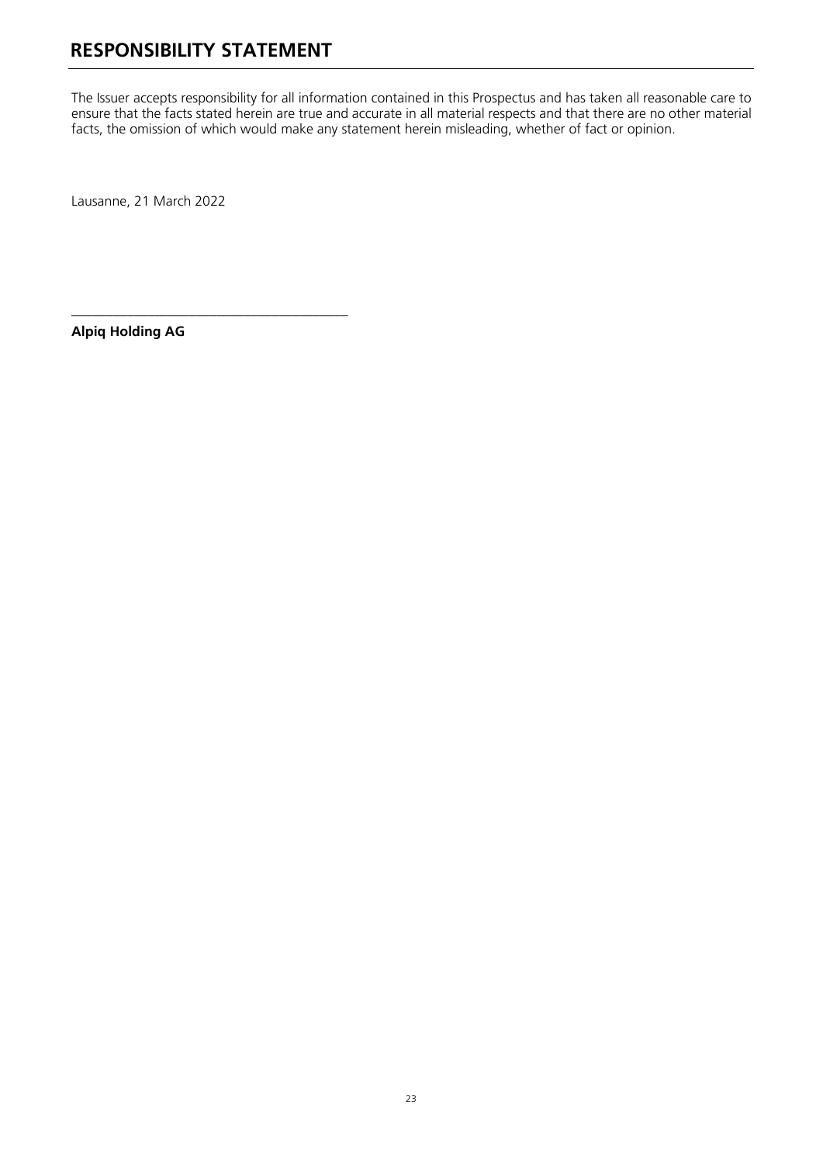**\_\_\_\_\_\_\_\_\_\_\_\_\_\_\_\_\_\_\_\_\_\_\_\_\_\_\_\_\_\_\_\_\_\_\_\_\_\_\_\_**

<span id="page-23-0"></span>The Issuer accepts responsibility for all information contained in this Prospectus and has taken all reasonable care to ensure that the facts stated herein are true and accurate in all material respects and that there are no other material facts, the omission of which would make any statement herein misleading, whether of fact or opinion.

Lausanne, 21 March 2022

**Alpiq Holding AG**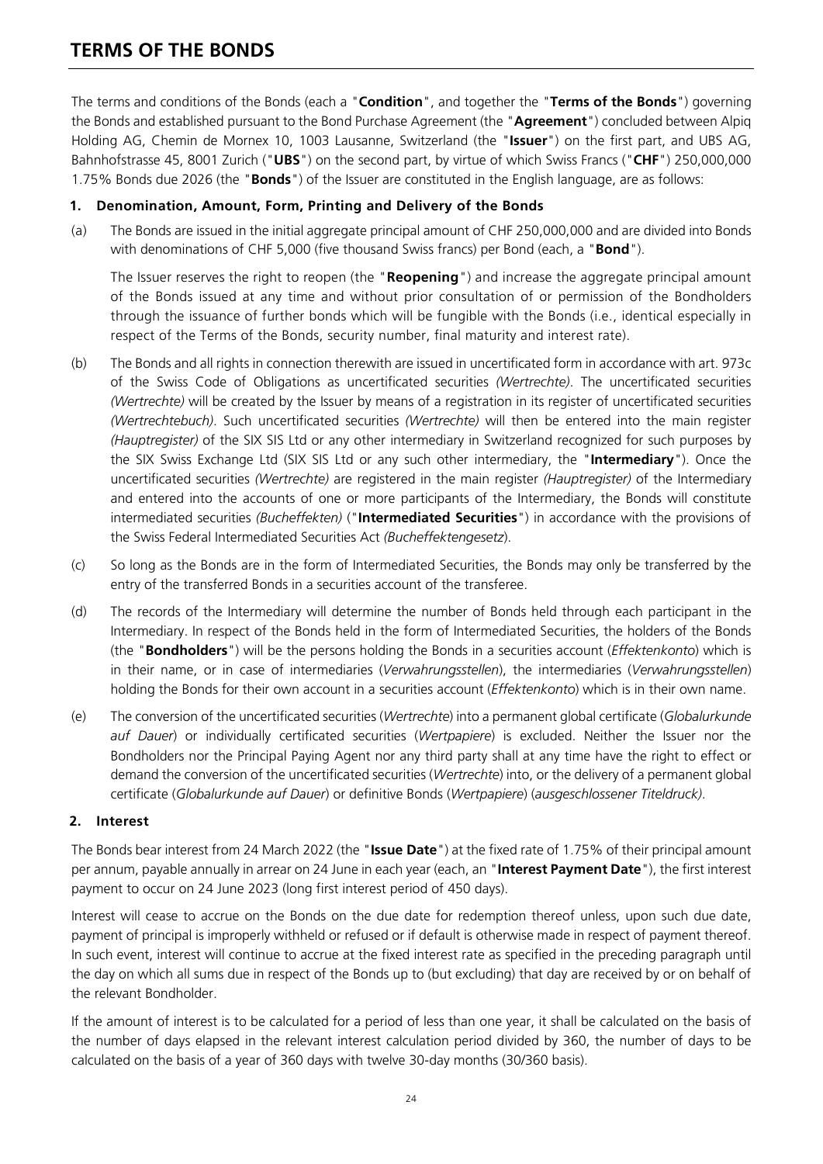### <span id="page-24-0"></span>**TERMS OF THE BONDS**

The terms and conditions of the Bonds (each a "**Condition**", and together the "**Terms of the Bonds**") governing the Bonds and established pursuant to the Bond Purchase Agreement (the "**Agreement**") concluded between Alpiq Holding AG, Chemin de Mornex 10, 1003 Lausanne, Switzerland (the "**Issuer**") on the first part, and UBS AG, Bahnhofstrasse 45, 8001 Zurich ("**UBS**") on the second part, by virtue of which Swiss Francs ("**CHF**") 250,000,000 1.75% Bonds due 2026 (the "**Bonds**") of the Issuer are constituted in the English language, are as follows:

#### **1. Denomination, Amount, Form, Printing and Delivery of the Bonds**

(a) The Bonds are issued in the initial aggregate principal amount of CHF 250,000,000 and are divided into Bonds with denominations of CHF 5,000 (five thousand Swiss francs) per Bond (each, a "**Bond**").

The Issuer reserves the right to reopen (the "**Reopening**") and increase the aggregate principal amount of the Bonds issued at any time and without prior consultation of or permission of the Bondholders through the issuance of further bonds which will be fungible with the Bonds (i.e., identical especially in respect of the Terms of the Bonds, security number, final maturity and interest rate).

- (b) The Bonds and all rights in connection therewith are issued in uncertificated form in accordance with art. 973c of the Swiss Code of Obligations as uncertificated securities *(Wertrechte)*. The uncertificated securities *(Wertrechte)* will be created by the Issuer by means of a registration in its register of uncertificated securities *(Wertrechtebuch)*. Such uncertificated securities *(Wertrechte)* will then be entered into the main register *(Hauptregister)* of the SIX SIS Ltd or any other intermediary in Switzerland recognized for such purposes by the SIX Swiss Exchange Ltd (SIX SIS Ltd or any such other intermediary, the "**Intermediary**"). Once the uncertificated securities *(Wertrechte)* are registered in the main register *(Hauptregister)* of the Intermediary and entered into the accounts of one or more participants of the Intermediary, the Bonds will constitute intermediated securities *(Bucheffekten)* ("**Intermediated Securities**") in accordance with the provisions of the Swiss Federal Intermediated Securities Act *(Bucheffektengesetz*).
- (c) So long as the Bonds are in the form of Intermediated Securities, the Bonds may only be transferred by the entry of the transferred Bonds in a securities account of the transferee.
- (d) The records of the Intermediary will determine the number of Bonds held through each participant in the Intermediary. In respect of the Bonds held in the form of Intermediated Securities, the holders of the Bonds (the "**Bondholders**") will be the persons holding the Bonds in a securities account (*Effektenkonto*) which is in their name, or in case of intermediaries (*Verwahrungsstellen*), the intermediaries (*Verwahrungsstellen*) holding the Bonds for their own account in a securities account (*Effektenkonto*) which is in their own name.
- (e) The conversion of the uncertificated securities (*Wertrechte*) into a permanent global certificate (*Globalurkunde auf Dauer*) or individually certificated securities (*Wertpapiere*) is excluded. Neither the Issuer nor the Bondholders nor the Principal Paying Agent nor any third party shall at any time have the right to effect or demand the conversion of the uncertificated securities (*Wertrechte*) into, or the delivery of a permanent global certificate (*Globalurkunde auf Dauer*) or definitive Bonds (*Wertpapiere*) (*ausgeschlossener Titeldruck)*.

#### **2. Interest**

The Bonds bear interest from 24 March 2022 (the "**Issue Date**") at the fixed rate of 1.75% of their principal amount per annum, payable annually in arrear on 24 June in each year (each, an "**Interest Payment Date**"), the first interest payment to occur on 24 June 2023 (long first interest period of 450 days).

Interest will cease to accrue on the Bonds on the due date for redemption thereof unless, upon such due date, payment of principal is improperly withheld or refused or if default is otherwise made in respect of payment thereof. In such event, interest will continue to accrue at the fixed interest rate as specified in the preceding paragraph until the day on which all sums due in respect of the Bonds up to (but excluding) that day are received by or on behalf of the relevant Bondholder.

If the amount of interest is to be calculated for a period of less than one year, it shall be calculated on the basis of the number of days elapsed in the relevant interest calculation period divided by 360, the number of days to be calculated on the basis of a year of 360 days with twelve 30-day months (30/360 basis).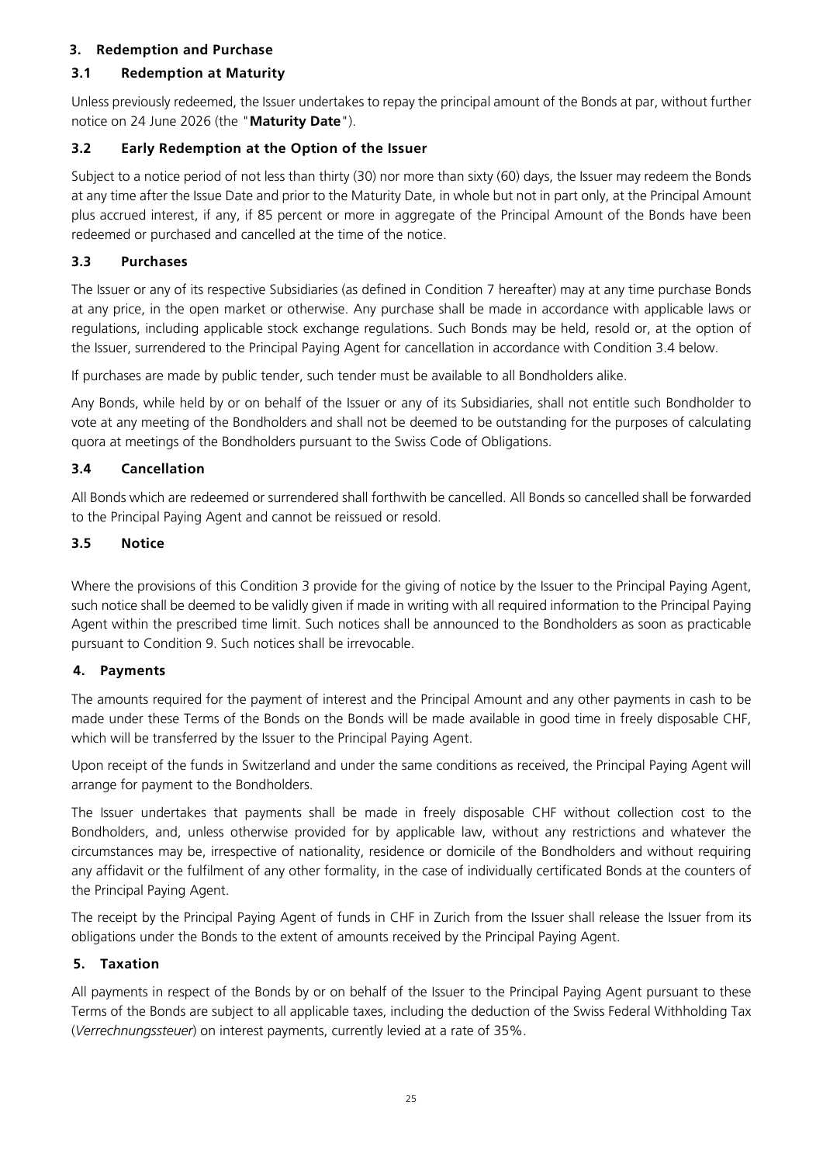#### **3. Redemption and Purchase**

#### **3.1 Redemption at Maturity**

Unless previously redeemed, the Issuer undertakes to repay the principal amount of the Bonds at par, without further notice on 24 June 2026 (the "**Maturity Date**").

#### **3.2 Early Redemption at the Option of the Issuer**

Subject to a notice period of not less than thirty (30) nor more than sixty (60) days, the Issuer may redeem the Bonds at any time after the Issue Date and prior to the Maturity Date, in whole but not in part only, at the Principal Amount plus accrued interest, if any, if 85 percent or more in aggregate of the Principal Amount of the Bonds have been redeemed or purchased and cancelled at the time of the notice.

#### **3.3 Purchases**

The Issuer or any of its respective Subsidiaries (as defined in Condition 7 hereafter) may at any time purchase Bonds at any price, in the open market or otherwise. Any purchase shall be made in accordance with applicable laws or regulations, including applicable stock exchange regulations. Such Bonds may be held, resold or, at the option of the Issuer, surrendered to the Principal Paying Agent for cancellation in accordance with Condition 3.4 below.

If purchases are made by public tender, such tender must be available to all Bondholders alike.

Any Bonds, while held by or on behalf of the Issuer or any of its Subsidiaries, shall not entitle such Bondholder to vote at any meeting of the Bondholders and shall not be deemed to be outstanding for the purposes of calculating quora at meetings of the Bondholders pursuant to the Swiss Code of Obligations.

#### **3.4 Cancellation**

All Bonds which are redeemed or surrendered shall forthwith be cancelled. All Bonds so cancelled shall be forwarded to the Principal Paying Agent and cannot be reissued or resold.

#### **3.5 Notice**

Where the provisions of this Condition 3 provide for the giving of notice by the Issuer to the Principal Paying Agent, such notice shall be deemed to be validly given if made in writing with all required information to the Principal Paying Agent within the prescribed time limit. Such notices shall be announced to the Bondholders as soon as practicable pursuant to Condition 9. Such notices shall be irrevocable.

#### **4. Payments**

The amounts required for the payment of interest and the Principal Amount and any other payments in cash to be made under these Terms of the Bonds on the Bonds will be made available in good time in freely disposable CHF, which will be transferred by the Issuer to the Principal Paying Agent.

Upon receipt of the funds in Switzerland and under the same conditions as received, the Principal Paying Agent will arrange for payment to the Bondholders.

The Issuer undertakes that payments shall be made in freely disposable CHF without collection cost to the Bondholders, and, unless otherwise provided for by applicable law, without any restrictions and whatever the circumstances may be, irrespective of nationality, residence or domicile of the Bondholders and without requiring any affidavit or the fulfilment of any other formality, in the case of individually certificated Bonds at the counters of the Principal Paying Agent.

The receipt by the Principal Paying Agent of funds in CHF in Zurich from the Issuer shall release the Issuer from its obligations under the Bonds to the extent of amounts received by the Principal Paying Agent.

#### **5. Taxation**

All payments in respect of the Bonds by or on behalf of the Issuer to the Principal Paying Agent pursuant to these Terms of the Bonds are subject to all applicable taxes, including the deduction of the Swiss Federal Withholding Tax (*Verrechnungssteuer*) on interest payments, currently levied at a rate of 35%.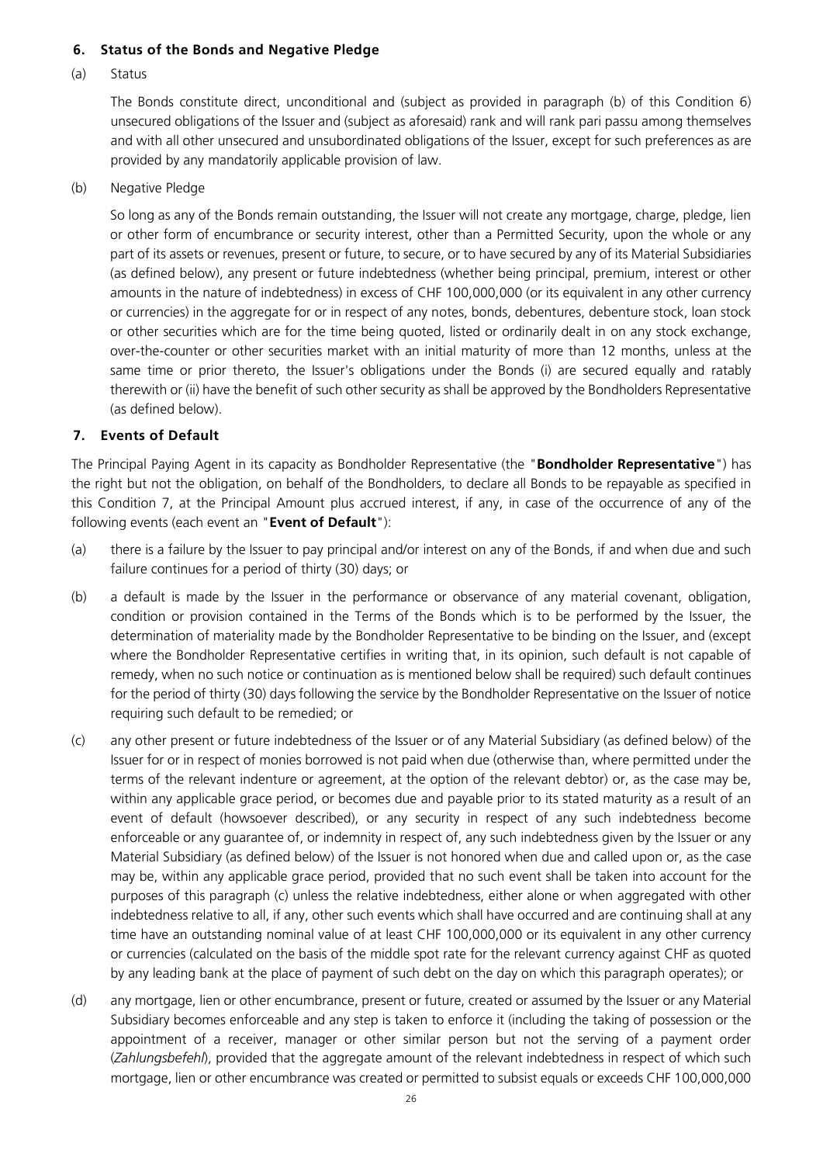#### **6. Status of the Bonds and Negative Pledge**

#### (a) Status

The Bonds constitute direct, unconditional and (subject as provided in paragraph (b) of this Condition 6) unsecured obligations of the Issuer and (subject as aforesaid) rank and will rank pari passu among themselves and with all other unsecured and unsubordinated obligations of the Issuer, except for such preferences as are provided by any mandatorily applicable provision of law.

(b) Negative Pledge

So long as any of the Bonds remain outstanding, the Issuer will not create any mortgage, charge, pledge, lien or other form of encumbrance or security interest, other than a Permitted Security, upon the whole or any part of its assets or revenues, present or future, to secure, or to have secured by any of its Material Subsidiaries (as defined below), any present or future indebtedness (whether being principal, premium, interest or other amounts in the nature of indebtedness) in excess of CHF 100,000,000 (or its equivalent in any other currency or currencies) in the aggregate for or in respect of any notes, bonds, debentures, debenture stock, loan stock or other securities which are for the time being quoted, listed or ordinarily dealt in on any stock exchange, over-the-counter or other securities market with an initial maturity of more than 12 months, unless at the same time or prior thereto, the Issuer's obligations under the Bonds (i) are secured equally and ratably therewith or (ii) have the benefit of such other security as shall be approved by the Bondholders Representative (as defined below).

#### **7. Events of Default**

The Principal Paying Agent in its capacity as Bondholder Representative (the "**Bondholder Representative**") has the right but not the obligation, on behalf of the Bondholders, to declare all Bonds to be repayable as specified in this Condition 7, at the Principal Amount plus accrued interest, if any, in case of the occurrence of any of the following events (each event an "**Event of Default**"):

- (a) there is a failure by the Issuer to pay principal and/or interest on any of the Bonds, if and when due and such failure continues for a period of thirty (30) days; or
- (b) a default is made by the Issuer in the performance or observance of any material covenant, obligation, condition or provision contained in the Terms of the Bonds which is to be performed by the Issuer, the determination of materiality made by the Bondholder Representative to be binding on the Issuer, and (except where the Bondholder Representative certifies in writing that, in its opinion, such default is not capable of remedy, when no such notice or continuation as is mentioned below shall be required) such default continues for the period of thirty (30) days following the service by the Bondholder Representative on the Issuer of notice requiring such default to be remedied; or
- (c) any other present or future indebtedness of the Issuer or of any Material Subsidiary (as defined below) of the Issuer for or in respect of monies borrowed is not paid when due (otherwise than, where permitted under the terms of the relevant indenture or agreement, at the option of the relevant debtor) or, as the case may be, within any applicable grace period, or becomes due and payable prior to its stated maturity as a result of an event of default (howsoever described), or any security in respect of any such indebtedness become enforceable or any guarantee of, or indemnity in respect of, any such indebtedness given by the Issuer or any Material Subsidiary (as defined below) of the Issuer is not honored when due and called upon or, as the case may be, within any applicable grace period, provided that no such event shall be taken into account for the purposes of this paragraph (c) unless the relative indebtedness, either alone or when aggregated with other indebtedness relative to all, if any, other such events which shall have occurred and are continuing shall at any time have an outstanding nominal value of at least CHF 100,000,000 or its equivalent in any other currency or currencies (calculated on the basis of the middle spot rate for the relevant currency against CHF as quoted by any leading bank at the place of payment of such debt on the day on which this paragraph operates); or
- (d) any mortgage, lien or other encumbrance, present or future, created or assumed by the Issuer or any Material Subsidiary becomes enforceable and any step is taken to enforce it (including the taking of possession or the appointment of a receiver, manager or other similar person but not the serving of a payment order (*Zahlungsbefehl*), provided that the aggregate amount of the relevant indebtedness in respect of which such mortgage, lien or other encumbrance was created or permitted to subsist equals or exceeds CHF 100,000,000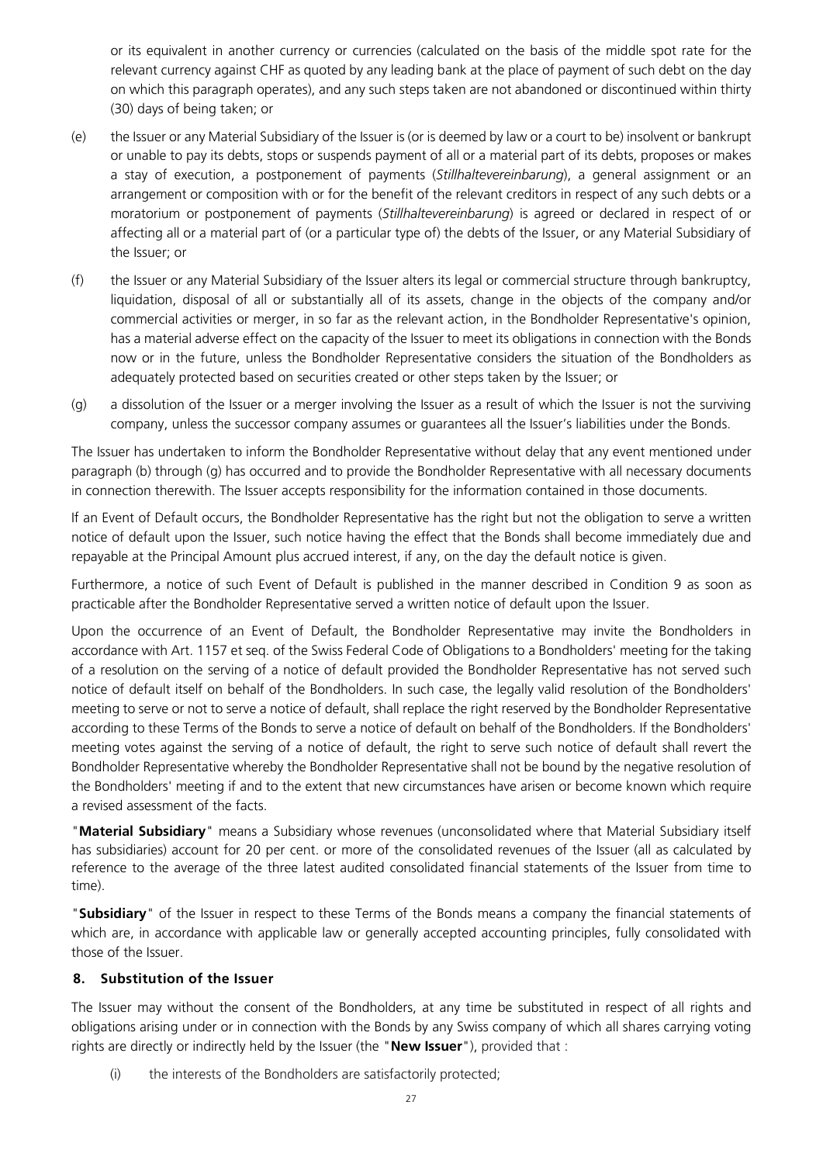or its equivalent in another currency or currencies (calculated on the basis of the middle spot rate for the relevant currency against CHF as quoted by any leading bank at the place of payment of such debt on the day on which this paragraph operates), and any such steps taken are not abandoned or discontinued within thirty (30) days of being taken; or

- (e) the Issuer or any Material Subsidiary of the Issuer is (or is deemed by law or a court to be) insolvent or bankrupt or unable to pay its debts, stops or suspends payment of all or a material part of its debts, proposes or makes a stay of execution, a postponement of payments (*Stillhaltevereinbarung*), a general assignment or an arrangement or composition with or for the benefit of the relevant creditors in respect of any such debts or a moratorium or postponement of payments (*Stillhaltevereinbarung*) is agreed or declared in respect of or affecting all or a material part of (or a particular type of) the debts of the Issuer, or any Material Subsidiary of the Issuer; or
- (f) the Issuer or any Material Subsidiary of the Issuer alters its legal or commercial structure through bankruptcy, liquidation, disposal of all or substantially all of its assets, change in the objects of the company and/or commercial activities or merger, in so far as the relevant action, in the Bondholder Representative's opinion, has a material adverse effect on the capacity of the Issuer to meet its obligations in connection with the Bonds now or in the future, unless the Bondholder Representative considers the situation of the Bondholders as adequately protected based on securities created or other steps taken by the Issuer; or
- (g) a dissolution of the Issuer or a merger involving the Issuer as a result of which the Issuer is not the surviving company, unless the successor company assumes or guarantees all the Issuer's liabilities under the Bonds.

The Issuer has undertaken to inform the Bondholder Representative without delay that any event mentioned under paragraph (b) through (g) has occurred and to provide the Bondholder Representative with all necessary documents in connection therewith. The Issuer accepts responsibility for the information contained in those documents.

If an Event of Default occurs, the Bondholder Representative has the right but not the obligation to serve a written notice of default upon the Issuer, such notice having the effect that the Bonds shall become immediately due and repayable at the Principal Amount plus accrued interest, if any, on the day the default notice is given.

Furthermore, a notice of such Event of Default is published in the manner described in Condition 9 as soon as practicable after the Bondholder Representative served a written notice of default upon the Issuer.

Upon the occurrence of an Event of Default, the Bondholder Representative may invite the Bondholders in accordance with Art. 1157 et seq. of the Swiss Federal Code of Obligations to a Bondholders' meeting for the taking of a resolution on the serving of a notice of default provided the Bondholder Representative has not served such notice of default itself on behalf of the Bondholders. In such case, the legally valid resolution of the Bondholders' meeting to serve or not to serve a notice of default, shall replace the right reserved by the Bondholder Representative according to these Terms of the Bonds to serve a notice of default on behalf of the Bondholders. If the Bondholders' meeting votes against the serving of a notice of default, the right to serve such notice of default shall revert the Bondholder Representative whereby the Bondholder Representative shall not be bound by the negative resolution of the Bondholders' meeting if and to the extent that new circumstances have arisen or become known which require a revised assessment of the facts.

"**Material Subsidiary**" means a Subsidiary whose revenues (unconsolidated where that Material Subsidiary itself has subsidiaries) account for 20 per cent. or more of the consolidated revenues of the Issuer (all as calculated by reference to the average of the three latest audited consolidated financial statements of the Issuer from time to time).

"**Subsidiary**" of the Issuer in respect to these Terms of the Bonds means a company the financial statements of which are, in accordance with applicable law or generally accepted accounting principles, fully consolidated with those of the Issuer.

#### **8. Substitution of the Issuer**

The Issuer may without the consent of the Bondholders, at any time be substituted in respect of all rights and obligations arising under or in connection with the Bonds by any Swiss company of which all shares carrying voting rights are directly or indirectly held by the Issuer (the "**New Issuer**"), provided that :

(i) the interests of the Bondholders are satisfactorily protected;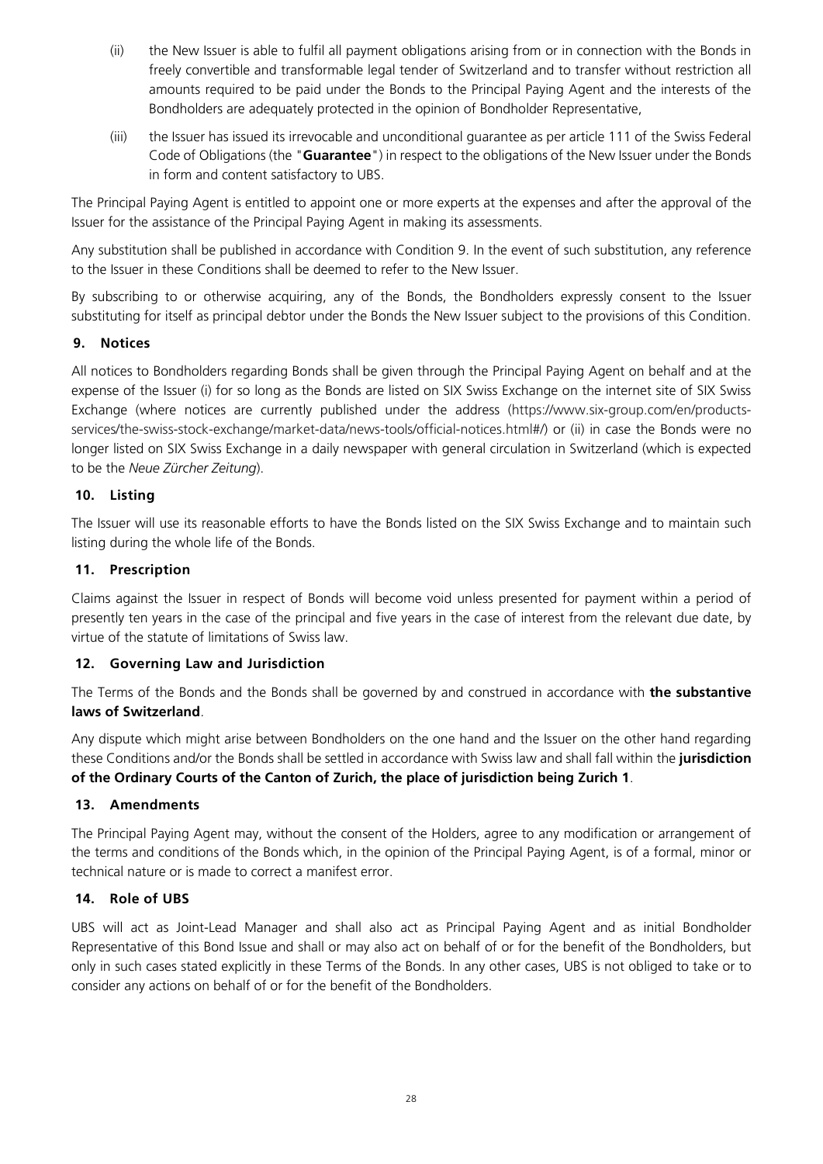- (ii) the New Issuer is able to fulfil all payment obligations arising from or in connection with the Bonds in freely convertible and transformable legal tender of Switzerland and to transfer without restriction all amounts required to be paid under the Bonds to the Principal Paying Agent and the interests of the Bondholders are adequately protected in the opinion of Bondholder Representative,
- (iii) the Issuer has issued its irrevocable and unconditional guarantee as per article 111 of the Swiss Federal Code of Obligations (the "**Guarantee**") in respect to the obligations of the New Issuer under the Bonds in form and content satisfactory to UBS.

The Principal Paying Agent is entitled to appoint one or more experts at the expenses and after the approval of the Issuer for the assistance of the Principal Paying Agent in making its assessments.

Any substitution shall be published in accordance with Condition 9. In the event of such substitution, any reference to the Issuer in these Conditions shall be deemed to refer to the New Issuer.

By subscribing to or otherwise acquiring, any of the Bonds, the Bondholders expressly consent to the Issuer substituting for itself as principal debtor under the Bonds the New Issuer subject to the provisions of this Condition.

#### **9. Notices**

All notices to Bondholders regarding Bonds shall be given through the Principal Paying Agent on behalf and at the expense of the Issuer (i) for so long as the Bonds are listed on SIX Swiss Exchange on the internet site of SIX Swiss Exchange (where notices are currently published under the address (https://www.six-group.com/en/productsservices/the-swiss-stock-exchange/market-data/news-tools/official-notices.html#/) or (ii) in case the Bonds were no longer listed on SIX Swiss Exchange in a daily newspaper with general circulation in Switzerland (which is expected to be the *Neue Zürcher Zeitung*).

#### **10. Listing**

The Issuer will use its reasonable efforts to have the Bonds listed on the SIX Swiss Exchange and to maintain such listing during the whole life of the Bonds.

#### **11. Prescription**

Claims against the Issuer in respect of Bonds will become void unless presented for payment within a period of presently ten years in the case of the principal and five years in the case of interest from the relevant due date, by virtue of the statute of limitations of Swiss law.

#### **12. Governing Law and Jurisdiction**

The Terms of the Bonds and the Bonds shall be governed by and construed in accordance with **the substantive laws of Switzerland**.

Any dispute which might arise between Bondholders on the one hand and the Issuer on the other hand regarding these Conditions and/or the Bonds shall be settled in accordance with Swiss law and shall fall within the **jurisdiction of the Ordinary Courts of the Canton of Zurich, the place of jurisdiction being Zurich 1**.

#### **13. Amendments**

The Principal Paying Agent may, without the consent of the Holders, agree to any modification or arrangement of the terms and conditions of the Bonds which, in the opinion of the Principal Paying Agent, is of a formal, minor or technical nature or is made to correct a manifest error.

#### **14. Role of UBS**

UBS will act as Joint-Lead Manager and shall also act as Principal Paying Agent and as initial Bondholder Representative of this Bond Issue and shall or may also act on behalf of or for the benefit of the Bondholders, but only in such cases stated explicitly in these Terms of the Bonds. In any other cases, UBS is not obliged to take or to consider any actions on behalf of or for the benefit of the Bondholders.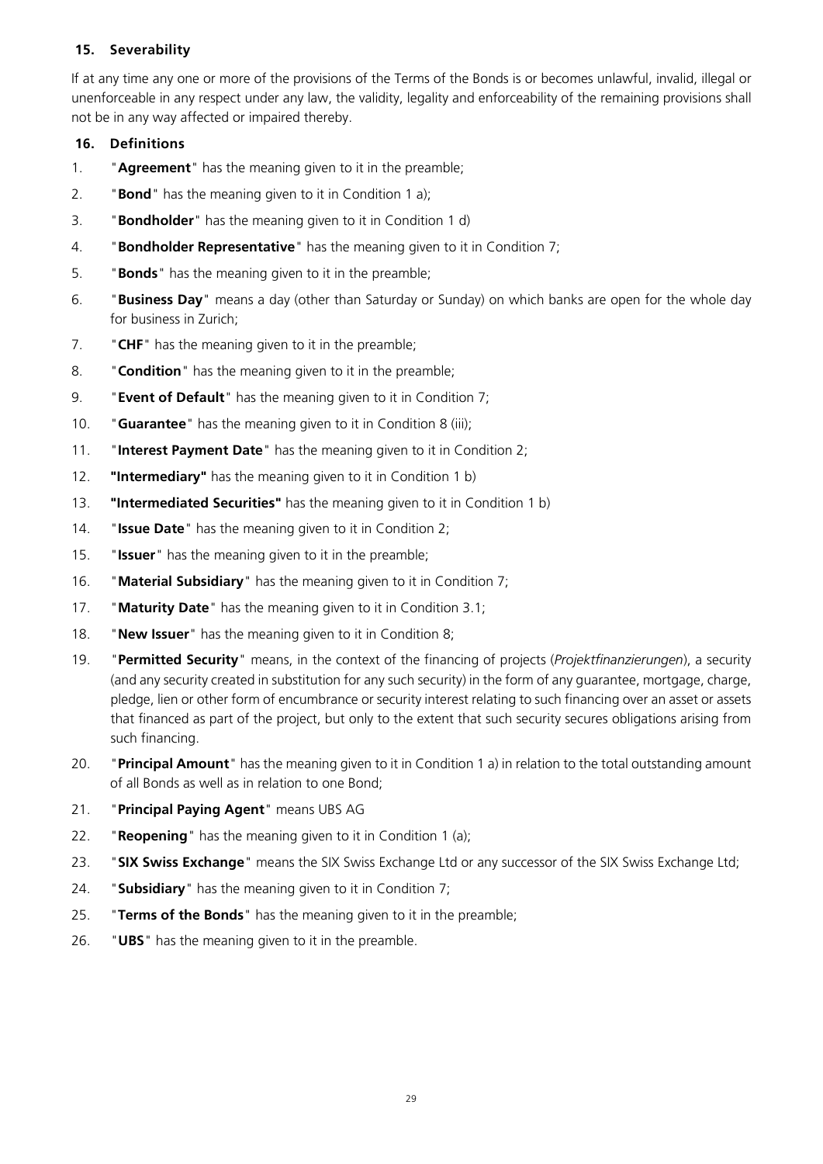#### **15. Severability**

If at any time any one or more of the provisions of the Terms of the Bonds is or becomes unlawful, invalid, illegal or unenforceable in any respect under any law, the validity, legality and enforceability of the remaining provisions shall not be in any way affected or impaired thereby.

#### **16. Definitions**

- 1. "**Agreement**" has the meaning given to it in the preamble;
- 2. "**Bond**" has the meaning given to it in Condition 1 a);
- 3. "**Bondholder**" has the meaning given to it in Condition 1 d)
- 4. "**Bondholder Representative**" has the meaning given to it in Condition 7;
- 5. "**Bonds**" has the meaning given to it in the preamble;
- 6. "**Business Day**" means a day (other than Saturday or Sunday) on which banks are open for the whole day for business in Zurich;
- 7. "**CHF**" has the meaning given to it in the preamble;
- 8. "**Condition**" has the meaning given to it in the preamble;
- 9. "**Event of Default**" has the meaning given to it in Condition 7;
- 10. "**Guarantee**" has the meaning given to it in Condition 8 (iii);
- 11. "**Interest Payment Date**" has the meaning given to it in Condition 2;
- 12. **"Intermediary"** has the meaning given to it in Condition 1 b)
- 13. **"Intermediated Securities"** has the meaning given to it in Condition 1 b)
- 14. "**Issue Date**" has the meaning given to it in Condition 2;
- 15. "**Issuer**" has the meaning given to it in the preamble;
- 16. "**Material Subsidiary**" has the meaning given to it in Condition 7;
- 17. "**Maturity Date**" has the meaning given to it in Condition 3.1;
- 18. "**New Issuer**" has the meaning given to it in Condition 8;
- 19. "**Permitted Security**" means, in the context of the financing of projects (*Projektfinanzierungen*), a security (and any security created in substitution for any such security) in the form of any guarantee, mortgage, charge, pledge, lien or other form of encumbrance or security interest relating to such financing over an asset or assets that financed as part of the project, but only to the extent that such security secures obligations arising from such financing.
- 20. "**Principal Amount**" has the meaning given to it in Condition 1 a) in relation to the total outstanding amount of all Bonds as well as in relation to one Bond;
- 21. "**Principal Paying Agent**" means UBS AG
- 22. "**Reopening**" has the meaning given to it in Condition 1 (a);
- 23. "**SIX Swiss Exchange**" means the SIX Swiss Exchange Ltd or any successor of the SIX Swiss Exchange Ltd;
- 24. "**Subsidiary**" has the meaning given to it in Condition 7;
- 25. "**Terms of the Bonds**" has the meaning given to it in the preamble;
- 26. "**UBS**" has the meaning given to it in the preamble.